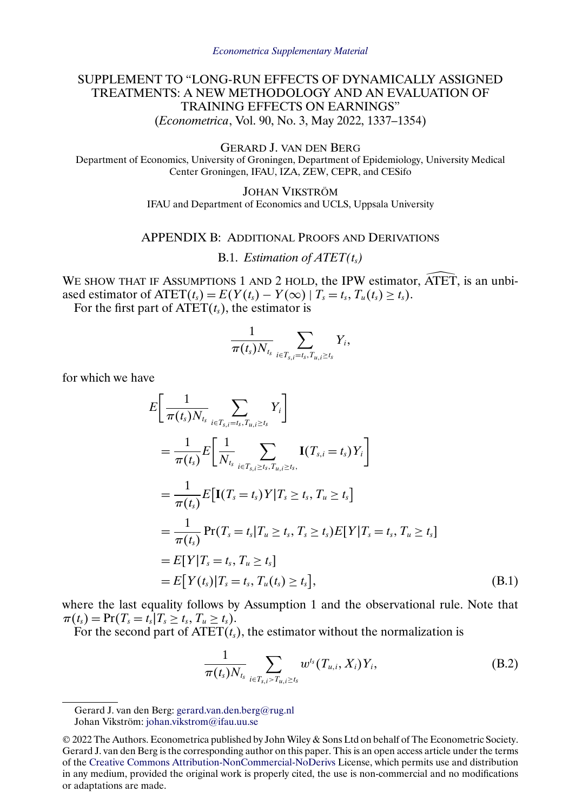# <span id="page-0-0"></span>SUPPLEMENT TO "LONG-RUN EFFECTS OF DYNAMICALLY ASSIGNED TREATMENTS: A NEW METHODOLOGY AND AN EVALUATION OF TRAINING EFFECTS ON EARNINGS" (*Econometrica*, Vol. 90, No. 3, May 2022, 1337–1354)

GERARD J. VAN DEN BERG

Department of Economics, University of Groningen, Department of Epidemiology, University Medical Center Groningen, IFAU, IZA, ZEW, CEPR, and CESifo

> JOHAN VIKSTRÖM IFAU and Department of Economics and UCLS, Uppsala University

## APPENDIX B: ADDITIONAL PROOFS AND DERIVATIONS

B.1. *Estimation of*  $\text{ATET}(t_s)$ 

B.1. *Estimation of ATET*( $t_s$ )<br>WE SHOW THAT IF ASSUMPTIONS 1 AND 2 HOLD, the IPW estimator, ATET, is an unbiased estimator of  $\text{ATET}(t_s) = E(Y(t_s) - Y(\infty) | T_s = t_s, T_u(t_s) \ge t_s).$ 

For the first part of  $\text{ATET}(t_{s})$ , the estimator is

$$
\frac{1}{\pi(t_s)N_{t_s}}\sum_{i\in T_{s,i}=t_s,T_{u,i}\geq t_s}Y_i,
$$

for which we have

$$
E\left[\frac{1}{\pi(t_s)N_{t_s}}\sum_{i\in T_{s,i}=t_s,T_{u,i}\geq t_s}Y_i\right]
$$
  
\n
$$
=\frac{1}{\pi(t_s)}E\left[\frac{1}{N_{t_s}}\sum_{i\in T_{s,i}\geq t_s,T_{u,i}\geq t_s}I(T_{s,i}=t_s)Y_i\right]
$$
  
\n
$$
=\frac{1}{\pi(t_s)}E\left[I(T_s=t_s)Y|T_s\geq t_s, T_u\geq t_s\right]
$$
  
\n
$$
=\frac{1}{\pi(t_s)}Pr(T_s=t_s|T_u\geq t_s, T_s\geq t_s)E[Y|T_s=t_s, T_u\geq t_s]
$$
  
\n
$$
=E[Y|T_s=t_s, T_u\geq t_s]
$$
  
\n
$$
=E[Y(t_s)|T_s=t_s, T_u(t_s)\geq t_s],
$$
\n(B.1)

where the last equality follows by Assumption 1 and the observational rule. Note that  $\pi(t_s) = \Pr(T_s = t_s | T_s \ge t_s, T_u \ge t_s).$ 

For the second part of  $\text{ATET}(t_{s})$ , the estimator without the normalization is

$$
\frac{1}{\pi(t_s)N_{t_s}}\sum_{i\in T_{s,i}>T_{u,i}\geq t_s}w^{t_s}(T_{u,i},X_i)Y_i,
$$
 (B.2)

Gerard J. van den Berg: [gerard.van.den.berg@rug.nl](mailto:gerard.van.den.berg@rug.nl) Johan Vikström: [johan.vikstrom@ifau.uu.se](mailto:johan.vikstrom@ifau.uu.se)

<sup>© 2022</sup> The Authors. Econometrica published by John Wiley & Sons Ltd on behalf of The Econometric Society. Gerard J. van den Berg is the corresponding author on this paper. This is an open access article under the terms of the [Creative Commons Attribution-NonCommercial-NoDerivs](https://creativecommons.org/licenses/by-nc-nd/4.0/) License, which permits use and distribution in any medium, provided the original work is properly cited, the use is non-commercial and no modifications or adaptations are made.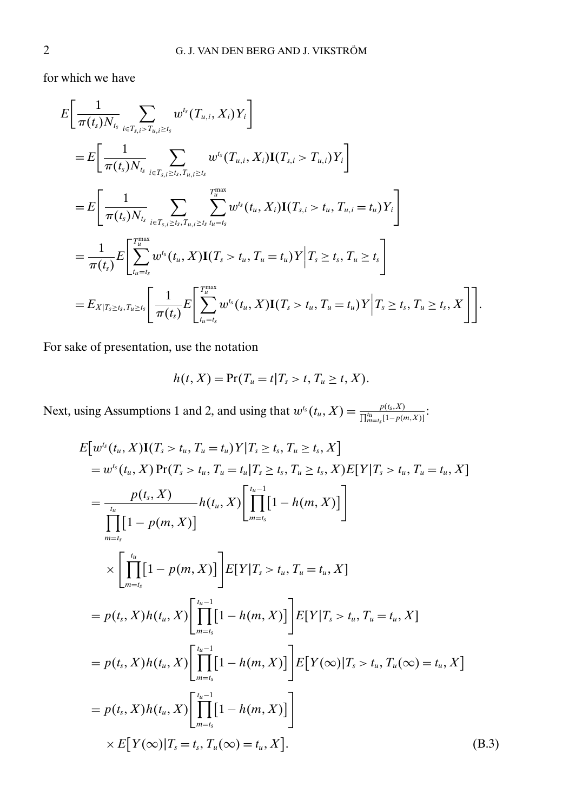<span id="page-1-0"></span>for which we have

$$
E\left[\frac{1}{\pi(t_{s})N_{t_{s}}} \sum_{i\in T_{s,i}>T_{u,i}\geq t_{s}} w^{t_{s}}(T_{u,i}, X_{i})Y_{i}\right]
$$
  
\n
$$
= E\left[\frac{1}{\pi(t_{s})N_{t_{s}}} \sum_{i\in T_{s,i}\geq t_{s}, T_{u,i}\geq t_{s}} w^{t_{s}}(T_{u,i}, X_{i})\mathbf{I}(T_{s,i} > T_{u,i})Y_{i}\right]
$$
  
\n
$$
= E\left[\frac{1}{\pi(t_{s})N_{t_{s}}} \sum_{i\in T_{s,i}\geq t_{s}, T_{u,i}\geq t_{s}} \sum_{u=t_{s}}^{T_{u}^{max}} w^{t_{s}}(t_{u}, X_{i})\mathbf{I}(T_{s,i} > t_{u}, T_{u,i} = t_{u})Y_{i}\right]
$$
  
\n
$$
= \frac{1}{\pi(t_{s})} E\left[\sum_{t_{u}=t_{s}}^{T_{u}^{max}} w^{t_{s}}(t_{u}, X)\mathbf{I}(T_{s} > t_{u}, T_{u} = t_{u})Y\Big|T_{s} \geq t_{s}, T_{u} \geq t_{s}\right]
$$
  
\n
$$
= E_{X|T_{s} \geq t_{s}, T_{u} \geq t_{s}} \left[\frac{1}{\pi(t_{s})} E\left[\sum_{t_{u}=t_{s}}^{T_{u}^{max}} w^{t_{s}}(t_{u}, X)\mathbf{I}(T_{s} > t_{u}, T_{u} = t_{u})Y\Big|T_{s} \geq t_{s}, T_{u} \geq t_{s}, X\right]\right].
$$

For sake of presentation, use the notation

$$
h(t, X) = \Pr(T_u = t | T_s > t, T_u \ge t, X).
$$

Next, using Assumptions 1 and 2, and using that  $w^{t_s}(t_u, X) = \frac{p(t_s, X)}{\prod_{m=1}^{t_u} [1-p(t_m, X)]}$  $\frac{p(t_s, X)}{\prod_{m=t_s}^{t_u}[1-p(m,X)]}$ :

$$
E[w^{t}(t_{u}, X)I(T_{s} > t_{u}, T_{u} = t_{u})Y|T_{s} \geq t_{s}, T_{u} \geq t_{s}, X]
$$
  
\n
$$
= w^{t_{s}}(t_{u}, X)Pr(T_{s} > t_{u}, T_{u} = t_{u}|T_{s} \geq t_{s}, T_{u} \geq t_{s}, X)E[Y|T_{s} > t_{u}, T_{u} = t_{u}, X]
$$
  
\n
$$
= \frac{p(t_{s}, X)}{\prod_{m=t_{s}}}[1 - p(m, X)]
$$
  
\n
$$
\times \left[\prod_{m=t_{s}}^{t_{u}}[1 - p(m, X)]\right]E[Y|T_{s} > t_{u}, T_{u} = t_{u}, X]
$$
  
\n
$$
= p(t_{s}, X)h(t_{u}, X)\left[\prod_{m=t_{s}}^{t_{u}-1}[1 - h(m, X)]\right]E[Y|T_{s} > t_{u}, T_{u} = t_{u}, X]
$$
  
\n
$$
= p(t_{s}, X)h(t_{u}, X)\left[\prod_{m=t_{s}}^{t_{u}-1}[1 - h(m, X)]\right]E[Y|T_{s} > t_{u}, T_{u} = t_{u}, X]
$$
  
\n
$$
= p(t_{s}, X)h(t_{u}, X)\left[\prod_{m=t_{s}}^{t_{u}-1}[1 - h(m, X)]\right]E[Y(\infty)|T_{s} > t_{u}, T_{u}(\infty) = t_{u}, X]
$$
  
\n
$$
= p(t_{s}, X)h(t_{u}, X)\left[\prod_{m=t_{s}}^{t_{u}-1}[1 - h(m, X)]\right]
$$
  
\n
$$
\times E[Y(\infty)|T_{s} = t_{s}, T_{u}(\infty) = t_{u}, X].
$$
\n(B.3)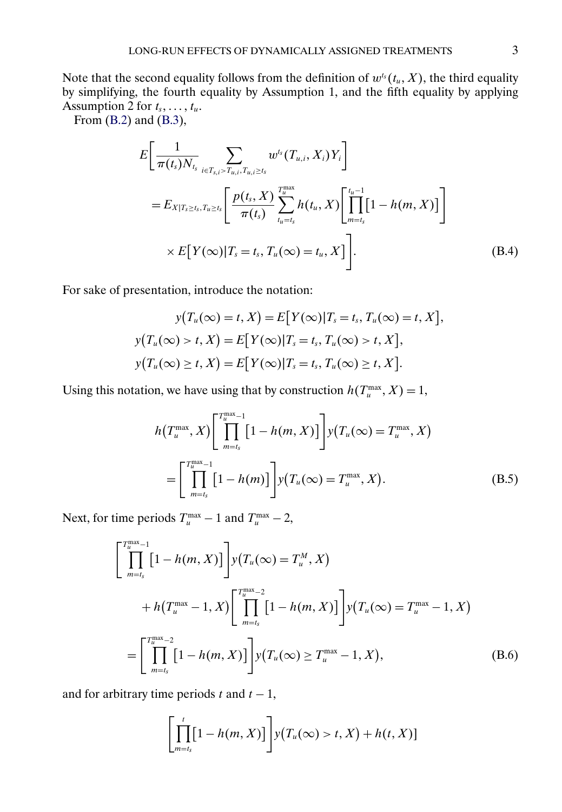<span id="page-2-0"></span>Note that the second equality follows from the definition of  $w^{t_s}(t_u, X)$ , the third equality by simplifying, the fourth equality by Assumption 1, and the fifth equality by applying Assumption 2 for  $t_s, \ldots, t_u$ .

From [\(B.2\)](#page-0-0) and [\(B.3\)](#page-1-0),

$$
E\left[\frac{1}{\pi(t_s)N_{t_s}}\sum_{i\in T_{s,i}>T_{u,i},T_{u,i}\geq t_s}w^{t_s}(T_{u,i},X_i)Y_i\right]
$$
  
=  $E_{X|T_s\geq t_s,T_u\geq t_s}\left[\frac{p(t_s,X)}{\pi(t_s)}\sum_{t_u=t_s}^{T_u^{\max}}h(t_u,X)\left[\prod_{m=t_s}^{t_u-1}[1-h(m,X)]\right]\right]$   
 $\times E[Y(\infty)|T_s=t_s,T_u(\infty)=t_u,X]\left].$  (B.4)

For sake of presentation, introduce the notation:

$$
y(T_u(\infty) = t, X) = E[Y(\infty)|T_s = t_s, T_u(\infty) = t, X],
$$
  

$$
y(T_u(\infty) > t, X) = E[Y(\infty)|T_s = t_s, T_u(\infty) > t, X],
$$
  

$$
y(T_u(\infty) \ge t, X) = E[Y(\infty)|T_s = t_s, T_u(\infty) \ge t, X].
$$

Using this notation, we have using that by construction  $h(T_u^{\max}, X) = 1$ ,

$$
h(T_u^{\max}, X) \left[ \prod_{m=t_s}^{T_u^{\max}-1} [1 - h(m, X)] \right] y(T_u(\infty) = T_u^{\max}, X)
$$
  
= 
$$
\left[ \prod_{m=t_s}^{T_u^{\max}-1} [1 - h(m)] \right] y(T_u(\infty) = T_u^{\max}, X).
$$
 (B.5)

Next, for time periods  $T_u^{\text{max}} - 1$  and  $T_u^{\text{max}} - 2$ ,

$$
\begin{aligned}\n\begin{bmatrix}\nT_u^{\max}-1 \\
\prod_{m=t_s}^{T_u^{\max}-1} \left[1-h(m,X)\right]\n\end{bmatrix} & y\left(T_u(\infty) = T_u^M, X\right) \\
&+ h\left(T_u^{\max}-1, X\right) \left[\prod_{m=t_s}^{T_u^{\max}-2} \left[1-h(m,X)\right]\right] & y\left(T_u(\infty) = T_u^{\max}-1, X\right) \\
&= \left[\prod_{m=t_s}^{T_u^{\max}-2} \left[1-h(m,X)\right]\right] & y\left(T_u(\infty) \ge T_u^{\max}-1, X\right),\n\end{aligned} \tag{B.6}
$$

and for arbitrary time periods t and  $t - 1$ ,

$$
\left[\prod_{m=t_s}^t[1-h(m,X)]\right]y\bigl(T_u(\infty)>t,X\bigr)+h(t,X)\bigl]
$$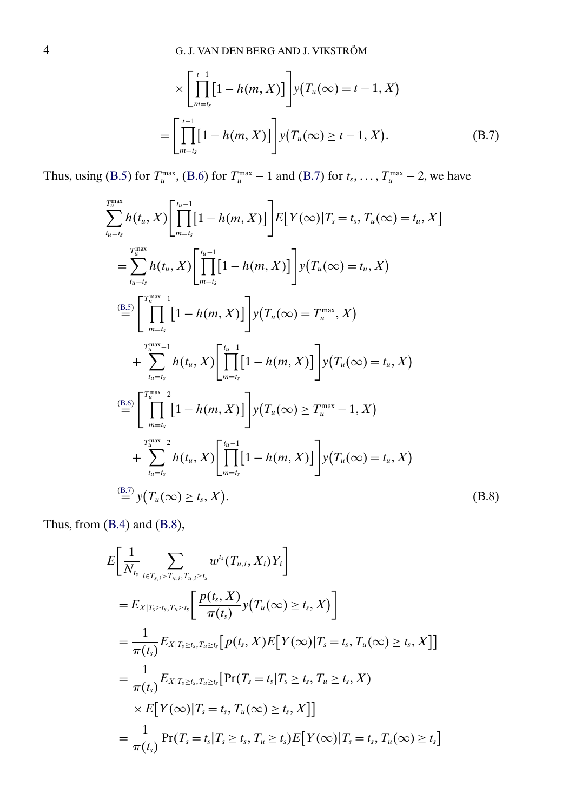$$
\times \left[\prod_{m=t_s}^{t-1} [1-h(m,X)]\right] y(T_u(\infty) = t-1, X)
$$

$$
= \left[\prod_{m=t_s}^{t-1} [1-h(m,X)]\right] y(T_u(\infty) \ge t-1, X). \tag{B.7}
$$

<span id="page-3-0"></span>Thus, using [\(B.5\)](#page-2-0) for  $T_u^{\max}$ , [\(B.6\)](#page-2-0) for  $T_u^{\max} - 1$  and (B.7) for  $t_s, \dots, T_u^{\max} - 2$ , we have

$$
\sum_{t_u=t_s}^{T_u^{\max}} h(t_u, X) \left[ \prod_{m=t_s}^{t_u-1} [1 - h(m, X)] \right] E[Y(\infty) | T_s = t_s, T_u(\infty) = t_u, X]
$$
\n
$$
= \sum_{t_u=t_s}^{T_u^{\max}} h(t_u, X) \left[ \prod_{m=t_s}^{t_{u-1}} [1 - h(m, X)] \right] y(T_u(\infty) = t_u, X)
$$
\n
$$
\stackrel{\text{(B.5)}}{=} \left[ \prod_{m=t_s}^{T_u^{\max}-1} [1 - h(m, X)] \right] y(T_u(\infty) = T_u^{\max}, X)
$$
\n
$$
+ \sum_{t_u=t_s}^{T_u^{\max}-1} h(t_u, X) \left[ \prod_{m=t_s}^{t_u-1} [1 - h(m, X)] \right] y(T_u(\infty) = t_u, X)
$$
\n
$$
\stackrel{\text{(B.6)}}{=} \left[ \prod_{m=t_s}^{T_u^{\max}-2} [1 - h(m, X)] \right] y(T_u(\infty) \ge T_u^{\max} - 1, X)
$$
\n
$$
+ \sum_{t_u=t_s}^{T_u^{\max}-2} h(t_u, X) \left[ \prod_{m=t_s}^{t_u-1} [1 - h(m, X)] \right] y(T_u(\infty) = t_u, X)
$$
\n
$$
\stackrel{\text{(B.7)}}{=} y(T_u(\infty) \ge t_s, X).
$$
\n(B.8)

Thus, from [\(B.4\)](#page-2-0) and (B.8),

$$
E\left[\frac{1}{N_{t_s}}\sum_{i\in T_{s,i} > T_{u,i}, T_{u,i} \ge t_s} w^{t_s}(T_{u,i}, X_i)Y_i\right]
$$
  
\n
$$
= E_{X|T_s \ge t_s, T_{u} \ge t_s} \left[\frac{p(t_s, X)}{\pi(t_s)} y(T_u(\infty) \ge t_s, X)\right]
$$
  
\n
$$
= \frac{1}{\pi(t_s)} E_{X|T_s \ge t_s, T_{u} \ge t_s} \left[p(t_s, X) E[Y(\infty) | T_s = t_s, T_u(\infty) \ge t_s, X]\right]
$$
  
\n
$$
= \frac{1}{\pi(t_s)} E_{X|T_s \ge t_s, T_{u} \ge t_s} \left[\Pr(T_s = t_s | T_s \ge t_s, T_u \ge t_s, X)\right]
$$
  
\n
$$
\times E[Y(\infty) | T_s = t_s, T_u(\infty) \ge t_s, X]\right]
$$
  
\n
$$
= \frac{1}{\pi(t_s)} Pr(T_s = t_s | T_s \ge t_s, T_u \ge t_s) E[Y(\infty) | T_s = t_s, T_u(\infty) \ge t_s]
$$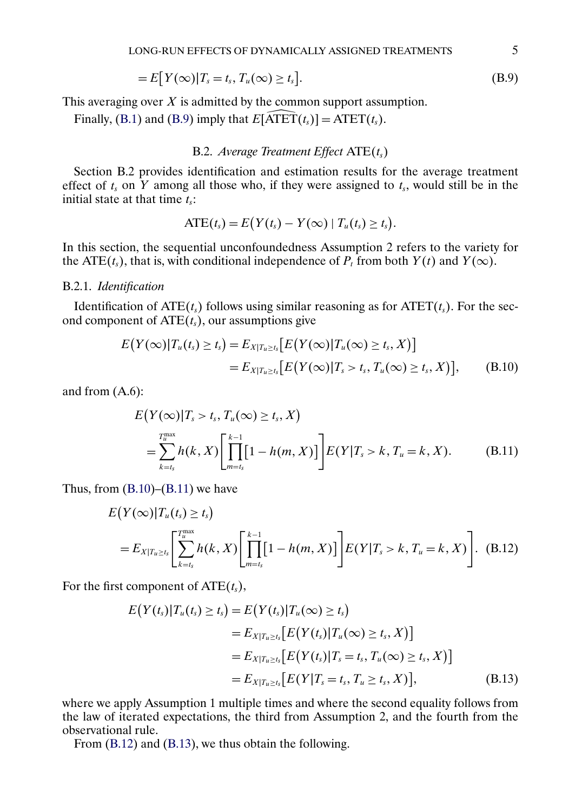$$
=E[Y(\infty)|T_s=t_s,T_u(\infty)\geq t_s].
$$
\n(B.9)

This averaging over  $X$  is admitted by the common support assumption.

is averaging over X is admitted by the common support assumently, [\(B.1\)](#page-0-0) and [\(B.9\)](#page-3-0) imply that  $E[\widehat{ATET}(t_s)] = \text{ATET}(t_s)$ .

### B.2. *Average Treatment Effect*  $ATE(t_s)$

Section B.2 provides identification and estimation results for the average treatment effect of  $t_s$  on Y among all those who, if they were assigned to  $t_s$ , would still be in the initial state at that time  $t_s$ :

$$
ATE(t_s) = E(Y(t_s) - Y(\infty) | T_u(t_s) \geq t_s).
$$

In this section, the sequential unconfoundedness Assumption 2 refers to the variety for the ATE(t<sub>s</sub>), that is, with conditional independence of  $P_t$  from both  $Y(t)$  and  $Y(\infty)$ .

#### B.2.1. *Identification*

Identification of  $ATE(t<sub>s</sub>)$  follows using similar reasoning as for  $ATET(t<sub>s</sub>)$ . For the second component of  $ATE(t<sub>s</sub>)$ , our assumptions give

$$
E(Y(\infty)|T_u(t_s) \ge t_s) = E_{X|T_u \ge t_s}[E(Y(\infty)|T_u(\infty) \ge t_s, X)]
$$
  
= 
$$
E_{X|T_u \ge t_s}[E(Y(\infty)|T_s > t_s, T_u(\infty) \ge t_s, X)], \quad (B.10)
$$

and from (A.6):

$$
E(Y(\infty)|T_s > t_s, T_u(\infty) \ge t_s, X)
$$
  
= 
$$
\sum_{k=t_s}^{T_u^{\text{max}}} h(k, X) \left[ \prod_{m=t_s}^{k-1} [1 - h(m, X)] \right] E(Y|T_s > k, T_u = k, X).
$$
 (B.11)

Thus, from  $(B.10)$ – $(B.11)$  we have

$$
E(Y(\infty)|T_u(t_s) \ge t_s)
$$
  
=  $E_{X|T_u \ge t_s} \left[ \sum_{k=t_s}^{T_u^{\text{max}}} h(k, X) \left[ \prod_{m=t_s}^{k-1} [1 - h(m, X)] \right] E(Y|T_s > k, T_u = k, X) \right].$  (B.12)

For the first component of  $ATE(t<sub>s</sub>)$ ,

$$
E(Y(t_s)|T_u(t_s) \ge t_s) = E(Y(t_s)|T_u(\infty) \ge t_s)
$$
  
=  $E_{X|T_u \ge t_s}[E(Y(t_s)|T_u(\infty) \ge t_s, X)]$   
=  $E_{X|T_u \ge t_s}[E(Y(t_s)|T_s = t_s, T_u(\infty) \ge t_s, X)]$   
=  $E_{X|T_u \ge t_s}[E(Y|T_s = t_s, T_u \ge t_s, X)],$  (B.13)

where we apply Assumption 1 multiple times and where the second equality follows from the law of iterated expectations, the third from Assumption 2, and the fourth from the observational rule.

From (B.12) and (B.13), we thus obtain the following.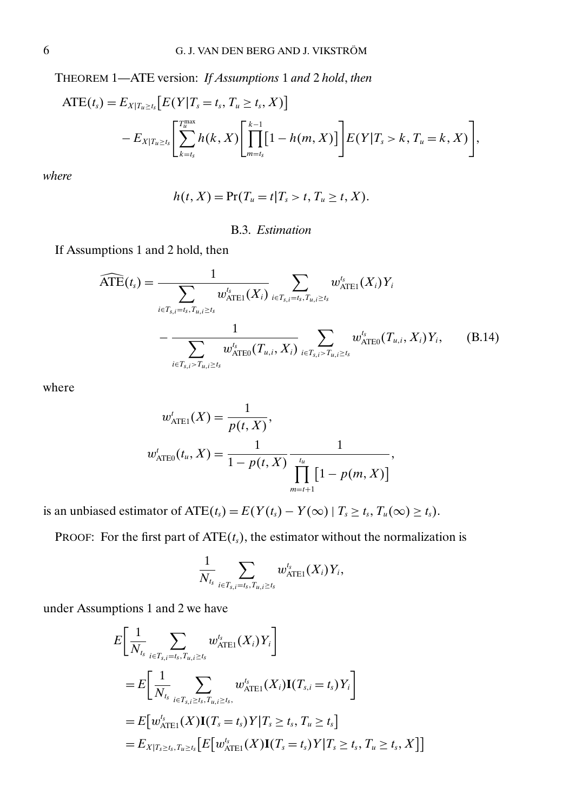<span id="page-5-0"></span>THEOREM 1—ATE version: *If Assumptions* 1 *and* 2 *hold*, *then*

$$
ATE(t_s) = E_{X|T_u \ge t_s} [E(Y|T_s = t_s, T_u \ge t_s, X)]
$$
  
- 
$$
E_{X|T_u \ge t_s} \left[ \sum_{k=t_s}^{T_u^{\text{max}}} h(k, X) \left[ \prod_{m=t_s}^{k-1} [1 - h(m, X)] \right] E(Y|T_s > k, T_u = k, X) \right],
$$

*where*

$$
h(t, X) = \Pr(T_u = t | T_s > t, T_u \geq t, X).
$$

## B.3. *Estimation*

If Assumptions 1 and 2 hold, then  
\n
$$
\widehat{\text{ATE}}(t_s) = \frac{1}{\sum_{i \in T_{s,i} = t_s, T_{u,i} \ge t_s} w_{\text{ATE1}}^{t_s} (X_i)} \sum_{i \in T_{s,i} = t_s, T_{u,i} \ge t_s} w_{\text{ATE1}}^{t_s} (X_i) Y_i - \frac{1}{\sum_{i \in T_{s,i} > T_{u,i} \ge t_s} w_{\text{ATE0}}^{t_s} (T_{u,i}, X_i)} \sum_{i \in T_{s,i} > T_{u,i} \ge t_s} w_{\text{ATE0}}^{t_s} (T_{u,i}, X_i) Y_i, \quad (B.14)
$$

where

$$
w'_{\text{ATE1}}(X) = \frac{1}{p(t, X)},
$$
  

$$
w'_{\text{ATE0}}(t_u, X) = \frac{1}{1 - p(t, X)} \frac{1}{\prod_{m=t+1}^{t_u} [1 - p(m, X)]},
$$

is an unbiased estimator of  $ATE(t_s) = E(Y(t_s) - Y(\infty) | T_s \ge t_s, T_u(\infty) \ge t_s)$ .

1

PROOF: For the first part of  $ATE(t<sub>s</sub>)$ , the estimator without the normalization is

$$
\frac{1}{N_{t_s}}\sum_{i\in T_{s,i}=t_s,T_{u,i}\geq t_s}w_{\text{ATE1}}^{t_s}(X_i)Y_i,
$$

under Assumptions 1 and 2 we have

$$
E\left[\frac{1}{N_{t_s}}\sum_{i\in T_{s,i}=t_s,T_{u,i}\geq t_s} w_{\text{ATE1}}^{t_s}(X_i)Y_i\right]
$$
  
\n
$$
= E\left[\frac{1}{N_{t_s}}\sum_{i\in T_{s,i}\geq t_s,T_{u,i}\geq t_s} w_{\text{ATE1}}^{t_s}(X_i)\mathbf{I}(T_{s,i}=t_s)Y_i\right]
$$
  
\n
$$
= E[w_{\text{ATE1}}^{t_s}(X)\mathbf{I}(T_s=t_s)Y|T_s\geq t_s, T_u\geq t_s]
$$
  
\n
$$
= E_{X|T_s\geq t_s,T_u\geq t_s}\left[E[w_{\text{ATE1}}^{t_s}(X)\mathbf{I}(T_s=t_s)Y|T_s\geq t_s, T_u\geq t_s, X]\right]
$$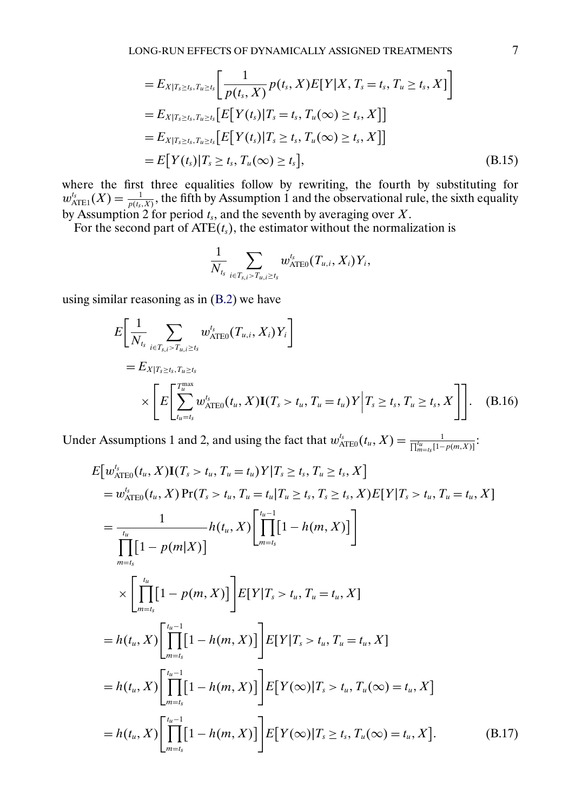<span id="page-6-0"></span>
$$
=E_{X|T_s\geq t_s,T_u\geq t_s}\left[\frac{1}{p(t_s,X)}p(t_s,X)E[Y|X,T_s=t_s,T_u\geq t_s,X]\right]
$$
  
\n
$$
=E_{X|T_s\geq t_s,T_u\geq t_s}\left[E[Y(t_s)|T_s=t_s,T_u(\infty)\geq t_s,X]\right]
$$
  
\n
$$
=E_{X|T_s\geq t_s,T_u\geq t_s}\left[E[Y(t_s)|T_s\geq t_s,T_u(\infty)\geq t_s,X]\right]
$$
  
\n
$$
=E[Y(t_s)|T_s\geq t_s,T_u(\infty)\geq t_s],
$$
\n(B.15)

where the first three equalities follow by rewriting, the fourth by substituting for  $w_{\text{ATEI}}^{t_s}(X) = \frac{1}{p(t_s, X)}$ , the fifth by Assumption 1 and the observational rule, the sixth equality by Assumption 2 for period  $t_s$ , and the seventh by averaging over X.

For the second part of  $ATE(t<sub>s</sub>)$ , the estimator without the normalization is

$$
\frac{1}{N_{\mathit{t_s}}} \sum_{\mathit{i} \in T_{\mathit{s,i}} > T_{\mathit{u,i}} \geq t_{\mathit{s}}} w_{\text{ATE0}}^{\mathit{t_s}}(T_{\mathit{u,i}}, X_{\mathit{i}}) Y_{\mathit{i}},
$$

using similar reasoning as in [\(B.2\)](#page-0-0) we have

$$
E\left[\frac{1}{N_{t_s}}\sum_{i\in T_{s,i} > T_{u,i}\geq t_s} w_{\text{ATE0}}^{t_s}(T_{u,i}, X_i)Y_i\right]
$$
  
=  $E_{X|T_s \geq t_s, T_{u}\geq t_s}$   

$$
\times \left[E\left[\sum_{t_u=t_s}^{T_u^{\text{max}}} w_{\text{ATE0}}^{t_s}(t_u, X)\mathbf{I}(T_s > t_u, T_u = t_u)Y\middle| T_s \geq t_s, T_u \geq t_s, X\right]\right].
$$
 (B.16)

Under Assumptions 1 and 2, and using the fact that  $w_{\text{ATE0}}^{t_s}(t_u, X) = \frac{1}{\prod_{m=t_s}^{t_u}[1-p(m,X)]}$ :

$$
E[w_{\text{ATE0}}^{t_{s}}(t_{u}, X) \mathbf{I}(T_{s} > t_{u}, T_{u} = t_{u}) Y | T_{s} \geq t_{s}, T_{u} \geq t_{s}, X]
$$
\n
$$
= w_{\text{ATE0}}^{t}(t_{u}, X) \Pr(T_{s} > t_{u}, T_{u} = t_{u} | T_{u} \geq t_{s}, T_{s} \geq t_{s}, X) E[Y | T_{s} > t_{u}, T_{u} = t_{u}, X]
$$
\n
$$
= \frac{1}{\prod_{m=t_{s}}}[1 - p(m|X)]
$$
\n
$$
\times \left[\prod_{m=t_{s}}^{t_{u}}[1 - p(m, X)]\right] E[Y | T_{s} > t_{u}, T_{u} = t_{u}, X]
$$
\n
$$
\times \left[\prod_{m=t_{s}}^{t_{u}}[1 - p(m, X)]\right] E[Y | T_{s} > t_{u}, T_{u} = t_{u}, X]
$$
\n
$$
= h(t_{u}, X) \left[\prod_{m=t_{s}}^{t_{u}-1}[1 - h(m, X)]\right] E[Y | T_{s} > t_{u}, T_{u} = t_{u}, X]
$$
\n
$$
= h(t_{u}, X) \left[\prod_{m=t_{s}}^{t_{u}-1}[1 - h(m, X)]\right] E[Y | T_{s} > t_{u}, T_{u}(\infty) = t_{u}, X]
$$
\n
$$
= h(t_{u}, X) \left[\prod_{m=t_{s}}^{t_{u}-1}[1 - h(m, X)]\right] E[Y(\infty)|T_{s} > t_{s}, T_{u}(\infty) = t_{u}, X]. \tag{B.17}
$$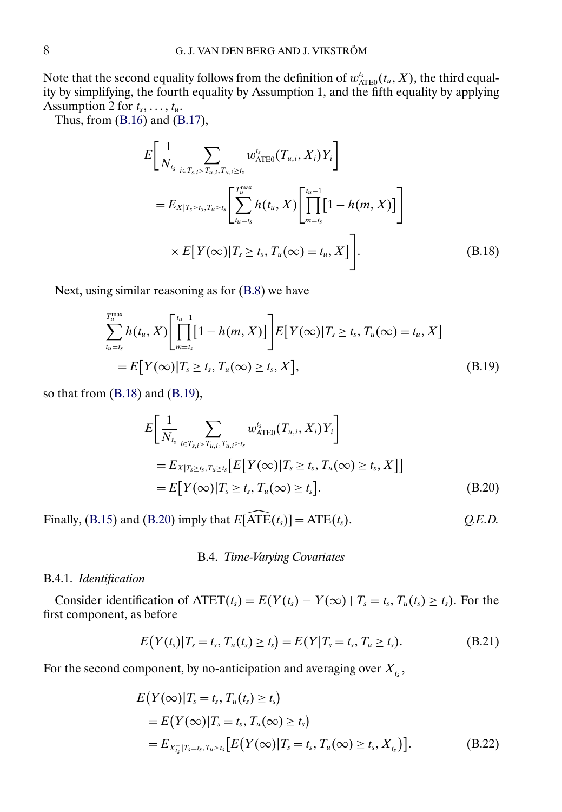<span id="page-7-0"></span>Note that the second equality follows from the definition of  $w_{\text{ATE0}}^{t_s}(t_u, X)$ , the third equality by simplifying, the fourth equality by Assumption 1, and the fifth equality by applying Assumption 2 for  $t_s, \ldots, t_u$ .

Thus, from [\(B.16\)](#page-6-0) and [\(B.17\)](#page-6-0),

$$
E\left[\frac{1}{N_{t_s}}\sum_{i\in T_{s,i} > T_{u,i}, T_{u,i} \ge t_s} w_{\text{ATEO}}^{t_s}(T_{u,i}, X_i)Y_i\right]
$$
  
=  $E_{X|T_s \ge t_s, T_{u} \ge t_s} \left[\sum_{t_u=t_s}^{T_u^{\text{max}}} h(t_u, X) \left[\prod_{m=t_s}^{t_u-1} [1 - h(m, X)]\right]\right]$   
 $\times E[Y(\infty)|T_s \ge t_s, T_u(\infty) = t_u, X]\left].$  (B.18)

Next, using similar reasoning as for [\(B.8\)](#page-3-0) we have

$$
\sum_{t_u=t_s}^{T_u^{\max}} h(t_u, X) \left[ \prod_{m=t_s}^{t_u-1} [1 - h(m, X)] \right] E[Y(\infty) | T_s \ge t_s, T_u(\infty) = t_u, X]
$$
  
=  $E[Y(\infty) | T_s \ge t_s, T_u(\infty) \ge t_s, X],$  (B.19)

so that from (B.18) and (B.19),

$$
E\left[\frac{1}{N_{t_s}}\sum_{i\in T_{s,i} > T_{u,i}, T_{u,i} \ge t_s} w_{\text{ATE0}}^{t_s}(T_{u,i}, X_i)Y_i\right]
$$
  
=  $E_{X|T_s \ge t_s, T_{u} \ge t_s} [E[Y(\infty)|T_s \ge t_s, T_u(\infty) \ge t_s, X]]$   
=  $E[Y(\infty)|T_s \ge t_s, T_u(\infty) \ge t_s].$  (B.20)

Finally, [\(B.15\)](#page-5-0) and (B.20) imply that  $E[\widehat{ATE}(t_s)] = ATE(t_s)$ .  $Q.E.D.$ 

# B.4. *Time-Varying Covariates*

# B.4.1. *Identification*

Consider identification of  $\text{ATET}(t_s) = E(Y(t_s) - Y(\infty) | T_s = t_s, T_u(t_s) \ge t_s)$ . For the first component, as before

$$
E(Y(t_s)|T_s = t_s, T_u(t_s) \ge t_s) = E(Y|T_s = t_s, T_u \ge t_s).
$$
\n(B.21)

For the second component, by no-anticipation and averaging over  $X_{t_s}^-$ ,

$$
E(Y(\infty)|T_s = t_s, T_u(t_s) \ge t_s)
$$
  
=  $E(Y(\infty)|T_s = t_s, T_u(\infty) \ge t_s)$   
=  $E_{X_{t_s}^-|T_s = t_s, T_u \ge t_s} [E(Y(\infty)|T_s = t_s, T_u(\infty) \ge t_s, X_{t_s}^-)].$  (B.22)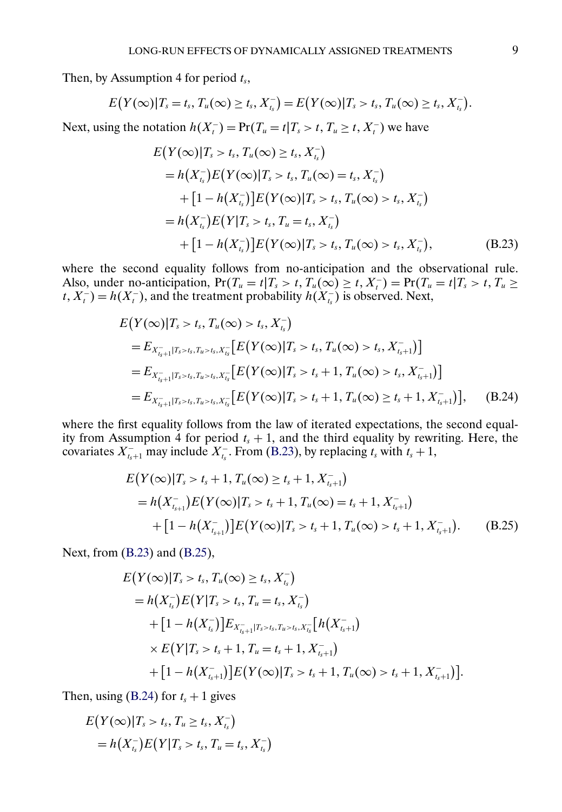<span id="page-8-0"></span>Then, by Assumption 4 for period  $t_s$ ,

$$
E(Y(\infty)|T_s=t_s,T_u(\infty)\geq t_s,X_{t_s}^-)=E(Y(\infty)|T_s>t_s,T_u(\infty)\geq t_s,X_{t_s}^-).
$$

Next, using the notation  $h(X_t^-) = Pr(T_u = t | T_s > t, T_u \ge t, X_t^-)$  we have

$$
E(Y(\infty)|T_s > t_s, T_u(\infty) \ge t_s, X_{t_s}^{-})
$$
  
=  $h(X_{t_s}^{-})E(Y(\infty)|T_s > t_s, T_u(\infty) = t_s, X_{t_s}^{-})$   
+  $[1 - h(X_{t_s}^{-})]E(Y(\infty)|T_s > t_s, T_u(\infty) > t_s, X_{t_s}^{-})$   
=  $h(X_{t_s}^{-})E(Y|T_s > t_s, T_u = t_s, X_{t_s}^{-})$   
+  $[1 - h(X_{t_s}^{-})]E(Y(\infty)|T_s > t_s, T_u(\infty) > t_s, X_{t_s}^{-}),$  (B.23)

where the second equality follows from no-anticipation and the observational rule. Also, under no-anticipation,  $Pr(T_u = t | T_s > t, T_u(\infty) \ge t, X_t^-) = Pr(T_u = t | T_s > t, T_u \ge t)$  $t, X_t^-$  =  $h(X_t^-)$ , and the treatment probability  $h(X_{t_s}^-)$  is observed. Next,

$$
E(Y(\infty)|T_s > t_s, T_u(\infty) > t_s, X_{t_s}^{-})
$$
  
=  $E_{X_{t_{s+1}}^{-}|T_s > t_s, T_u > t_s, X_{t_s}^{-}}[E(Y(\infty)|T_s > t_s, T_u(\infty) > t_s, X_{t_s+1}^{-})]$   
=  $E_{X_{t_{s+1}}^{-}|T_s > t_s, T_u > t_s, X_{t_s}^{-}}[E(Y(\infty)|T_s > t_s + 1, T_u(\infty) > t_s, X_{t_s+1}^{-})]$   
=  $E_{X_{t_{s+1}}^{-}|T_s > t_s, T_u > t_s, X_{t_s}^{-}}[E(Y(\infty)|T_s > t_s + 1, T_u(\infty) \ge t_s + 1, X_{t_s+1}^{-})],$  (B.24)

where the first equality follows from the law of iterated expectations, the second equality from Assumption 4 for period  $t_s + 1$ , and the third equality by rewriting. Here, the covariates  $X_{t_s+1}^-$  may include  $X_{t_s}^-$ . From (B.23), by replacing  $t_s$  with  $t_s + 1$ ,

$$
E(Y(\infty)|T_s > t_s + 1, T_u(\infty) \ge t_s + 1, X_{t_s+1}^{-})
$$
  
=  $h(X_{t_{s+1}}^{-})E(Y(\infty)|T_s > t_s + 1, T_u(\infty) = t_s + 1, X_{t_s+1}^{-})$   
+  $[1 - h(X_{t_{s+1}}^{-})]E(Y(\infty)|T_s > t_s + 1, T_u(\infty) > t_s + 1, X_{t_s+1}^{-})$ . (B.25)

Next, from (B.23) and (B.25),

$$
E(Y(\infty)|T_s > t_s, T_u(\infty) \ge t_s, X_{t_s}^{-})
$$
  
=  $h(X_{t_s}^{-})E(Y|T_s > t_s, T_u = t_s, X_{t_s}^{-})$   
+  $[1 - h(X_{t_s}^{-})]E_{X_{t_{s+1}}^{-}|T_s > t_s, T_u > t_s, X_{t_s}^{-}}[h(X_{t_{s+1}}^{-})$   
 $\times E(Y|T_s > t_s + 1, T_u = t_s + 1, X_{t_{s+1}}^{-})$   
+  $[1 - h(X_{t_{s+1}}^{-})]E(Y(\infty)|T_s > t_s + 1, T_u(\infty) > t_s + 1, X_{t_{s+1}}^{-})].$ 

Then, using (B.24) for  $t_s + 1$  gives

$$
E(Y(\infty)|T_s > t_s, T_u \ge t_s, X_{t_s}^{-})
$$
  
=  $h(X_{t_s}^{-})E(Y|T_s > t_s, T_u = t_s, X_{t_s}^{-})$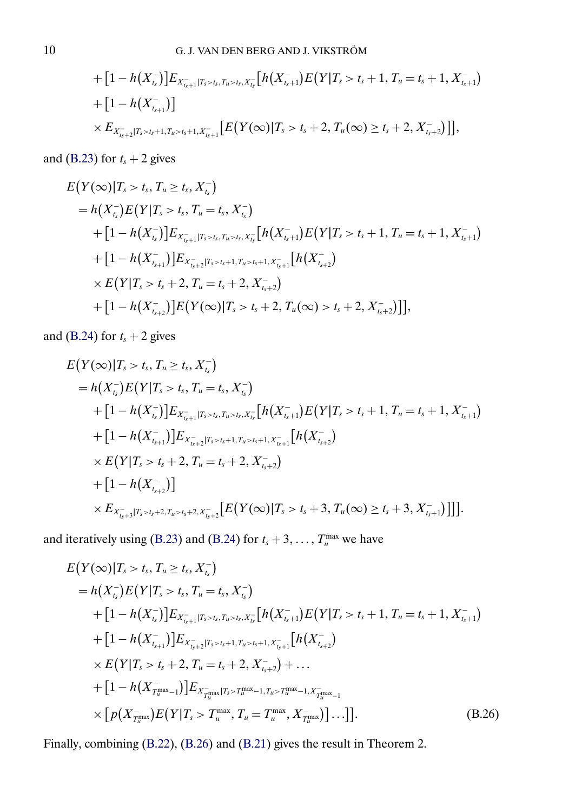+ 
$$
[1 - h(X_{t_s}^-)]E_{X_{t_{s+1}}^-|T_s > t_s, T_{u>s}^+|X_{t_s}^-}[h(X_{t_{s+1}}^-)E(Y|T_s > t_s + 1, T_u = t_s + 1, X_{t_{s+1}}^-)
$$
  
+  $[1 - h(X_{t_{s+1}}^-)]$   
 $\times E_{X_{t_{s+2}}^-|T_s > t_s + 1, T_u > t_s + 1, X_{t_{s+1}}^-}[E(Y(\infty)|T_s > t_s + 2, T_u(\infty) \ge t_s + 2, X_{t_s+2}^-)]],$ 

and [\(B.23\)](#page-8-0) for  $t_s + 2$  gives

$$
E(Y(\infty)|T_s > t_s, T_u \ge t_s, X_{t_s}^{-})
$$
  
=  $h(X_{t_s}^{-})E(Y|T_s > t_s, T_u = t_s, X_{t_s}^{-})$   
+  $[1 - h(X_{t_s}^{-})]E_{X_{t_{s+1}}^{-}|T_s > t_s, T_u > t_s, X_{t_s}^{-}}[h(X_{t_{s+1}}^{-})E(Y|T_s > t_s + 1, T_u = t_s + 1, X_{t_{s+1}}^{-})$   
+  $[1 - h(X_{t_{s+1}}^{-})]E_{X_{t_{s+2}}^{-}|T_s > t_s + 1, T_u > t_s + 1, X_{t_{s+1}}^{-}}[h(X_{t_{s+2}}^{-})$   
 $\times E(Y|T_s > t_s + 2, T_u = t_s + 2, X_{t_s+2}^{-})$   
+  $[1 - h(X_{t_{s+2}}^{-})]E(Y(\infty)|T_s > t_s + 2, T_u(\infty) > t_s + 2, X_{t_s+2}^{-})]]$ ,

and [\(B.24\)](#page-8-0) for  $t_s + 2$  gives

$$
E(Y(\infty)|T_s > t_s, T_u \ge t_s, X_{t_s}^{-})
$$
  
=  $h(X_{t_s}^{-})E(Y|T_s > t_s, T_u = t_s, X_{t_s}^{-})$   
+  $[1 - h(X_{t_s}^{-})]E_{X_{t_{s+1}}^{-} |T_s > t_s, T_u > t_s, X_{t_s}^{-}}[h(X_{t_{s+1}}^{-})E(Y|T_s > t_s + 1, T_u = t_s + 1, X_{t_{s+1}}^{-})$   
+  $[1 - h(X_{t_{s+1}}^{-})]E_{X_{t_{s+2}}^{-} |T_s > t_s + 1, T_u > t_s + 1, X_{t_{s+1}}^{-}}[h(X_{t_{s+2}}^{-})$   
 $\times E(Y|T_s > t_s + 2, T_u = t_s + 2, X_{t_{s+2}}^{-})$   
+  $[1 - h(X_{t_{s+2}}^{-})]$   
 $\times E_{X_{t_{s+3}}^{-} |T_s > t_s + 2, T_u > t_s + 2, X_{t_{s+2}}^{-}}[E(Y(\infty)|T_s > t_s + 3, T_u(\infty) \ge t_s + 3, X_{t_{s+1}}^{-})]]].$ 

and iteratively using [\(B.23\)](#page-8-0) and [\(B.24\)](#page-8-0) for  $t_s + 3, \ldots, T_u^{\max}$  we have

$$
E(Y(\infty)|T_s > t_s, T_u \ge t_s, X_{t_s}^{-})
$$
  
\n
$$
= h(X_{t_s}^{-})E(Y|T_s > t_s, T_u = t_s, X_{t_s}^{-})
$$
  
\n
$$
+ [1 - h(X_{t_s}^{-})]E_{X_{t_{s+1}}^{-}|T_s > t_s, T_u > t_s, X_{t_s}^{-}}[h(X_{t_{s+1}}^{-})E(Y|T_s > t_s + 1, T_u = t_s + 1, X_{t_{s+1}}^{-})
$$
  
\n
$$
+ [1 - h(X_{t_{s+1}}^{-})]E_{X_{t_{s+2}}^{-}|T_s > t_s + 1, T_u > t_s + 1, X_{t_{s+1}}^{-}}[h(X_{t_{s+2}}^{-})
$$
  
\n
$$
\times E(Y|T_s > t_s + 2, T_u = t_s + 2, X_{t_s+2}^{-}) + ...
$$
  
\n
$$
+ [1 - h(X_{T_u}^{-\max} - 1)]E_{X_{T_u}^{-\max}|T_s > T_u^{\max} - 1, T_u > T_u^{\max} - 1, X_{T_u}^{-\max} - 1}
$$
  
\n
$$
\times [p(X_{T_u}^{-\max})E(Y|T_s > T_u^{\max}, T_u = T_u^{\max}, X_{T_u}^{-\max})]...]].
$$
\n(B.26)

Finally, combining [\(B.22\)](#page-7-0), (B.26) and [\(B.21\)](#page-7-0) gives the result in Theorem 2.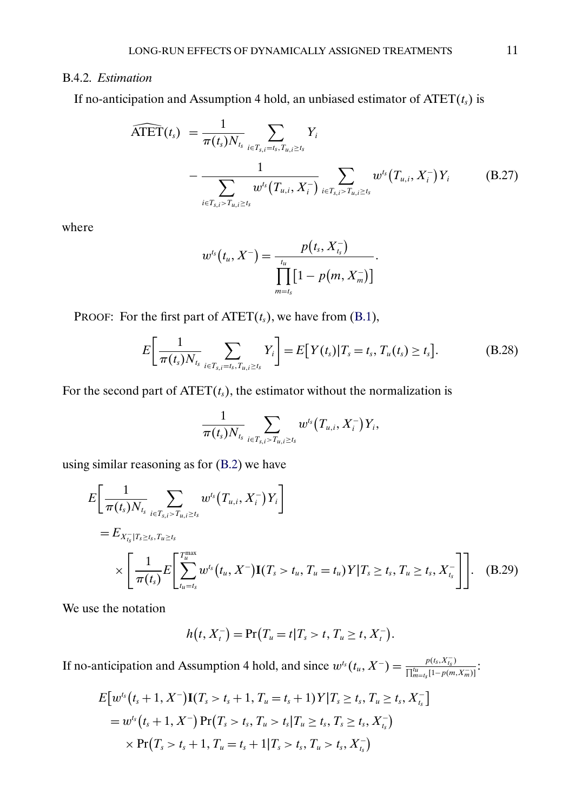# <span id="page-10-0"></span>B.4.2. *Estimation*

If no-anticipation and Assumption 4 hold, an unbiased estimator of 
$$
\widehat{\text{ATET}}(t_s)
$$
 is  
\n
$$
\widehat{\text{ATET}}(t_s) = \frac{1}{\pi(t_s)N_{t_s}} \sum_{i \in T_{s,i} = t_s, T_{u,i} \ge t_s} Y_i - \frac{1}{\sum_{i \in T_{s,i} > T_{u,i} \ge t_s} w^{t_s}(T_{u,i}, X_i^-)} \sum_{i \in T_{s,i} > T_{u,i} \ge t_s} w^{t_s}(T_{u,i}, X_i^-) Y_i
$$
\n(B.27)

where

$$
w^{t_s}(t_u, X^-) = \frac{p(t_s, X_{t_s}^-)}{\prod_{m=t_s}^{t_u} [1 - p(m, X_m^-)]}.
$$

PROOF: For the first part of  $\text{ATET}(t_s)$ , we have from [\(B.1\)](#page-0-0),

$$
E\bigg[\frac{1}{\pi(t_s)N_{t_s}}\sum_{i\in T_{s,i}=t_s,T_{u,i}\geq t_s}Y_i\bigg]=E[Y(t_s)|T_s=t_s,T_u(t_s)\geq t_s].
$$
 (B.28)

For the second part of  $\text{ATET}(t_s)$ , the estimator without the normalization is

$$
\frac{1}{\pi(t_{s})N_{\tau_{s}}} \sum_{i \in T_{s,i} > T_{u,i} \geq t_{s}} w^{t_{s}}\big(T_{u,i}, X_{i}^{-}\big)Y_{i},
$$

using similar reasoning as for [\(B.2\)](#page-0-0) we have

$$
E\left[\frac{1}{\pi(t_s)N_{t_s}}\sum_{i\in T_{s,i}>T_{u,i}\geq t_s}w^{t_s}(T_{u,i},X_i^-)Y_i\right]
$$
  
=  $E_{X_{t_s}^-|T_s\geq t_s,T_u\geq t_s}$   

$$
\times \left[\frac{1}{\pi(t_s)}E\left[\sum_{t_u=t_s}^{T_u^{\max}}w^{t_s}(t_u,X^-)\mathbf{I}(T_s>t_u,T_u=t_u)Y|T_s\geq t_s,T_u\geq t_s,X_{t_s}^-\right]\right].
$$
 (B.29)

We use the notation

$$
h(t, Xt-) = Pr(Tu = t | Ts > t, Tu \ge t, Xt-).
$$

If no-anticipation and Assumption 4 hold, and since  $w^{t_s}(t_u, X^-) = \frac{p(t_s, X_{t_s})}{\prod_{m=t_s}^{t_u} [1-p(m)]}$  $\frac{p_{(i_S, A_{t_S})}}{\prod_{m=t_S}^{t_u}[1-p(m, X_m)]}$ :

$$
E[w^{t_s}(t_s+1, X^{-})\mathbf{I}(T_s > t_s+1, T_u = t_s+1)Y|T_s \ge t_s, T_u \ge t_s, X_{t_s}^{-}]
$$
  
=  $w^{t_s}(t_s+1, X^{-})\Pr(T_s > t_s, T_u > t_s|T_u \ge t_s, T_s \ge t_s, X_{t_s}^{-})$   
 $\times \Pr(T_s > t_s+1, T_u = t_s+1|T_s > t_s, T_u > t_s, X_{t_s}^{-})$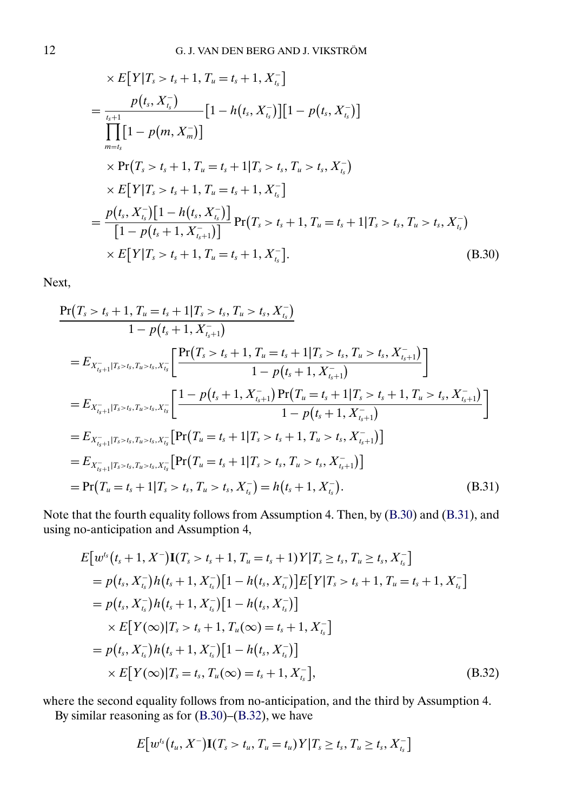<span id="page-11-0"></span>
$$
\times E[Y|T_s > t_s + 1, T_u = t_s + 1, X_{t_s}]
$$
\n
$$
= \frac{p(t_s, X_{t_s}^{-})}{\prod_{m=t_s}^{t_{s+1}} [1 - p(m, X_m^{-})]} [1 - h(t_s, X_{t_s}^{-})][1 - p(t_s, X_{t_s}^{-})]
$$
\n
$$
\times Pr(T_s > t_s + 1, T_u = t_s + 1 | T_s > t_s, T_u > t_s, X_{t_s}^{-})
$$
\n
$$
\times E[Y|T_s > t_s + 1, T_u = t_s + 1, X_{t_s}^{-}]
$$
\n
$$
= \frac{p(t_s, X_{t_s}^{-}) [1 - h(t_s, X_{t_s}^{-})]}{[1 - p(t_s + 1, X_{t_{s+1}}^{-})]} Pr(T_s > t_s + 1, T_u = t_s + 1 | T_s > t_s, T_u > t_s, X_{t_s}^{-})
$$
\n
$$
\times E[Y|T_s > t_s + 1, T_u = t_s + 1, X_{t_s}^{-}].
$$
\n(B.30)

Next,

$$
\Pr(T_{s} > t_{s} + 1, T_{u} = t_{s} + 1 | T_{s} > t_{s}, T_{u} > t_{s}, X_{t_{s}}^{-})
$$
\n
$$
1 - p(t_{s} + 1, X_{t_{s}+1}^{-})
$$
\n
$$
= E_{X_{t_{s}+1}^{-}|T_{s} > t_{s}, T_{u} > t_{s}, X_{t_{s}}^{-}} \left[ \frac{\Pr(T_{s} > t_{s} + 1, T_{u} = t_{s} + 1 | T_{s} > t_{s}, T_{u} > t_{s}, X_{t_{s}+1}^{-})}{1 - p(t_{s} + 1, X_{t_{s}+1}^{-})} \right]
$$
\n
$$
= E_{X_{t_{s}+1}^{-}|T_{s} > t_{s}, T_{u} > t_{s}, X_{t_{s}}^{-}} \left[ \frac{1 - p(t_{s} + 1, X_{t_{s}+1}^{-}) \Pr(T_{u} = t_{s} + 1 | T_{s} > t_{s} + 1, T_{u} > t_{s}, X_{t_{s}+1}^{-})}{1 - p(t_{s} + 1, X_{t_{s}+1}^{-})} \right]
$$
\n
$$
= E_{X_{t_{s}+1}^{-}|T_{s} > t_{s}, T_{u} > t_{s}, X_{t_{s}}^{-}} \left[ \Pr(T_{u} = t_{s} + 1 | T_{s} > t_{s} + 1, T_{u} > t_{s}, X_{t_{s}+1}^{-}) \right]
$$
\n
$$
= E_{X_{t_{s}+1}^{-}|T_{s} > t_{s}, T_{u} > t_{s}, X_{t_{s}}^{-}} \left[ \Pr(T_{u} = t_{s} + 1 | T_{s} > t_{s}, T_{u} > t_{s}, X_{t_{s}+1}^{-}) \right]
$$
\n
$$
= \Pr(T_{u} = t_{s} + 1 | T_{s} > t_{s}, T_{u} > t_{s}, X_{t_{s}}^{-}) = h(t_{s} + 1, X_{t_{s}}^{-}). \tag{B.31}
$$

Note that the fourth equality follows from Assumption 4. Then, by [\(B.30\)](#page-10-0) and (B.31), and using no-anticipation and Assumption 4,

$$
E[w^{t_s}(t_s+1, X^-)I(T_s > t_s+1, T_u = t_s+1)Y|T_s \ge t_s, T_u \ge t_s, X_{t_s}^-]
$$
  
=  $p(t_s, X_{t_s}^-)h(t_s+1, X_{t_s}^-)[1-h(t_s, X_{t_s}^-)]E[Y|T_s > t_s+1, T_u = t_s+1, X_{t_s}^-]$   
=  $p(t_s, X_{t_s}^-)h(t_s+1, X_{t_s}^-)[1-h(t_s, X_{t_s}^-)]$   
 $\times E[Y(\infty)|T_s > t_s+1, T_u(\infty) = t_s+1, X_{t_s}^-]$   
=  $p(t_s, X_{t_s}^-)h(t_s+1, X_{t_s}^-)[1-h(t_s, X_{t_s}^-)]$   
 $\times E[Y(\infty)|T_s = t_s, T_u(\infty) = t_s+1, X_{t_s}^-],$  (B.32)

where the second equality follows from no-anticipation, and the third by Assumption 4.

By similar reasoning as for [\(B.30\)](#page-10-0)–(B.32), we have

$$
E[w^{t_s}(t_u, X^-)\mathbf{I}(T_s > t_u, T_u = t_u)Y|T_s \ge t_s, T_u \ge t_s, X_{t_s}^-]
$$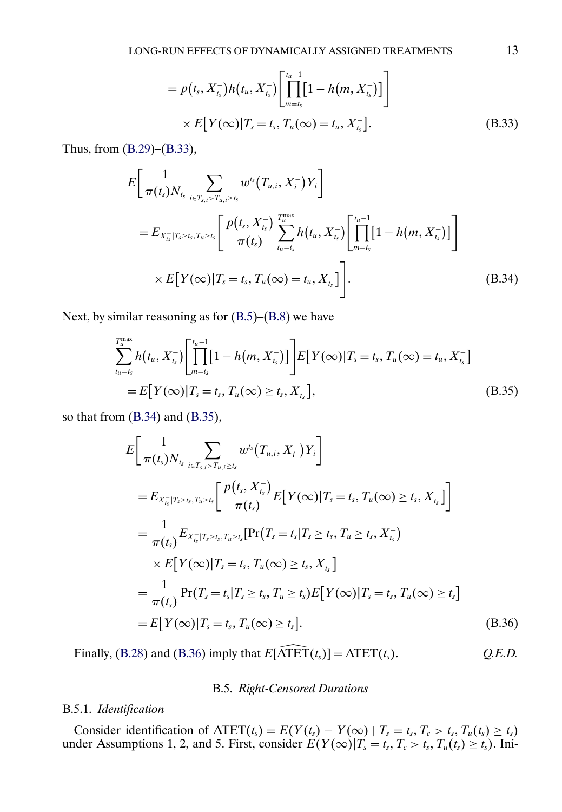$$
= p(t_s, X_{t_s}^-)h(t_u, X_{t_s}^-)\left[\prod_{m=t_s}^{t_u-1} [1-h(m, X_{t_s}^-)]\right]
$$
  
×  $E[Y(\infty)|T_s = t_s, T_u(\infty) = t_u, X_{t_s}^-].$  (B.33)

Thus, from [\(B.29\)](#page-10-0)–[\(B.33\)](#page-11-0),

$$
E\left[\frac{1}{\pi(t_s)N_{t_s}}\sum_{i\in T_{s,i}>T_{u,i}\geq t_s}w^{t_s}(T_{u,i},X_i^-)Y_i\right]
$$
  
=  $E_{X_{t_s}^-|T_s\geq t_s,T_u\geq t_s}\left[\frac{p(t_s,X_{t_s}^-)}{\pi(t_s)}\sum_{t_u=t_s}^{T_u^{\max}}h(t_u,X_{t_s}^-)\left[\prod_{m=t_s}^{t_u-1}[1-h(m,X_{t_s}^-)]\right]\right]$   
 $\times E[Y(\infty)|T_s=t_s,T_u(\infty)=t_u,X_{t_s}^-]\left].$  (B.34)

Next, by similar reasoning as for [\(B.5\)](#page-2-0)–[\(B.8\)](#page-3-0) we have

$$
\sum_{t_u=t_s}^{T_u^{\max}} h(t_u, X_{t_s}^-) \left[ \prod_{m=t_s}^{t_u-1} [1 - h(m, X_{t_s}^-)] \right] E[Y(\infty) | T_s = t_s, T_u(\infty) = t_u, X_{t_s}^-]
$$
\n
$$
= E[Y(\infty) | T_s = t_s, T_u(\infty) \ge t_s, X_{t_s}^-],
$$
\n(B.35)

so that from (B.34) and (B.35),

$$
E\left[\frac{1}{\pi(t_{s})N_{t_{s}}}\sum_{i\in T_{s,i}>T_{u,i}\geq t_{s}}w^{t_{s}}(T_{u,i},X_{i}^{-})Y_{i}\right]
$$
\n
$$
=E_{X_{t_{s}}^{-}|T_{s}\geq t_{s},T_{u}\geq t_{s}}\left[\frac{p(t_{s},X_{t_{s}}^{-})}{\pi(t_{s})}E[Y(\infty)|T_{s}=t_{s},T_{u}(\infty)\geq t_{s},X_{t_{s}}^{-}]\right]
$$
\n
$$
=\frac{1}{\pi(t_{s})}E_{X_{t_{s}}^{-}|T_{s}\geq t_{s},T_{u}\geq t_{s}}[Pr(T_{s}=t_{s}|T_{s}\geq t_{s},T_{u}\geq t_{s},X_{t_{s}}^{-})
$$
\n
$$
\times E[Y(\infty)|T_{s}=t_{s},T_{u}(\infty)\geq t_{s},X_{t_{s}}^{-}]
$$
\n
$$
=\frac{1}{\pi(t_{s})}Pr(T_{s}=t_{s}|T_{s}\geq t_{s},T_{u}\geq t_{s})E[Y(\infty)|T_{s}=t_{s},T_{u}(\infty)\geq t_{s}]
$$
\n
$$
=E[Y(\infty)|T_{s}=t_{s},T_{u}(\infty)\geq t_{s}].
$$
\n(B.36)

\nFinally, (B.28) and (B.36) imply that  $E[\widehat{\text{ATET}}(t_{s})] = \text{ATET}(t_{s}).$ 

# B.5. *Right-Censored Durations*

# B.5.1. *Identification*

Consider identification of  $\text{ATET}(t_s) = E(Y(t_s) - Y(\infty) | T_s = t_s, T_c > t_s, T_u(t_s) \ge t_s)$ under Assumptions 1, 2, and 5. First, consider  $E(Y(\infty)|T_s = t_s, T_c > t_s, T_u(t_s) \ge t_s)$ . Ini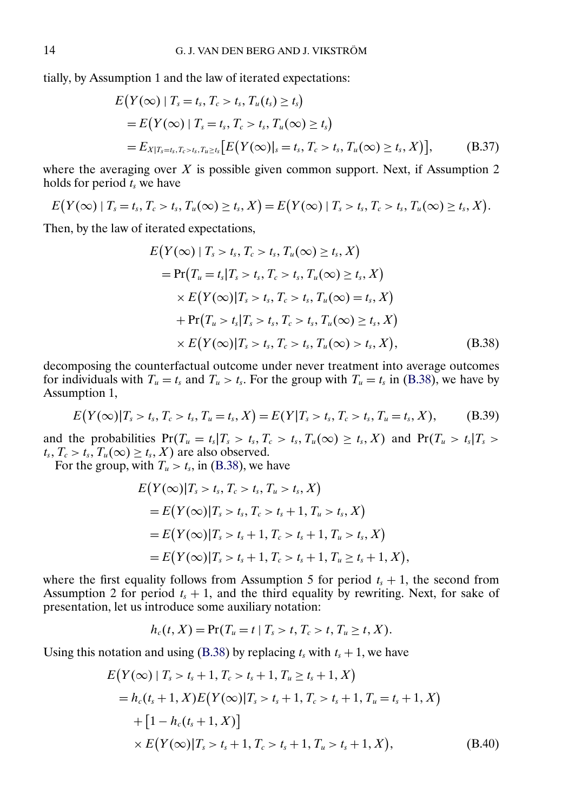<span id="page-13-0"></span>tially, by Assumption 1 and the law of iterated expectations:

$$
E(Y(\infty) | T_s = t_s, T_c > t_s, T_u(t_s) \ge t_s)
$$
  
=  $E(Y(\infty) | T_s = t_s, T_c > t_s, T_u(\infty) \ge t_s)$   
=  $E_{X|T_s = t_s, T_c > t_s, T_u \ge t_s} [E(Y(\infty)) | s = t_s, T_c > t_s, T_u(\infty) \ge t_s, X)],$  (B.37)

where the averaging over  $X$  is possible given common support. Next, if Assumption 2 holds for period  $t_s$  we have

$$
E(Y(\infty) \mid T_s = t_s, T_c > t_s, T_u(\infty) \geq t_s, X) = E(Y(\infty) \mid T_s > t_s, T_c > t_s, T_u(\infty) \geq t_s, X).
$$

Then, by the law of iterated expectations,

$$
E(Y(\infty) | T_s > t_s, T_c > t_s, T_u(\infty) \ge t_s, X)
$$
  
=  $\Pr(T_u = t_s | T_s > t_s, T_c > t_s, T_u(\infty) \ge t_s, X)$   
 $\times E(Y(\infty) | T_s > t_s, T_c > t_s, T_u(\infty) = t_s, X)$   
+  $\Pr(T_u > t_s | T_s > t_s, T_c > t_s, T_u(\infty) \ge t_s, X)$   
 $\times E(Y(\infty) | T_s > t_s, T_c > t_s, T_u(\infty) > t_s, X),$  (B.38)

decomposing the counterfactual outcome under never treatment into average outcomes for individuals with  $T_u = t_s$  and  $T_u > t_s$ . For the group with  $T_u = t_s$  in (B.38), we have by Assumption 1,

$$
E(Y(\infty)|T_s > t_s, T_c > t_s, T_u = t_s, X) = E(Y|T_s > t_s, T_c > t_s, T_u = t_s, X),
$$
 (B.39)

and the probabilities  $Pr(T_u = t_s | T_s > t_s, T_c > t_s, T_u(\infty) \ge t_s, X)$  and  $Pr(T_u > t_s | T_s > t_s, T_u(\infty) \ge t_s, X_s)$  $t_s, T_c > t_s, T_u(\infty) \ge t_s, X$  are also observed.

For the group, with  $T_u > t_s$ , in (B.38), we have

$$
E(Y(\infty)|T_s > t_s, T_c > t_s, T_u > t_s, X)
$$
  
=  $E(Y(\infty)|T_s > t_s, T_c > t_s + 1, T_u > t_s, X)$   
=  $E(Y(\infty)|T_s > t_s + 1, T_c > t_s + 1, T_u > t_s, X)$   
=  $E(Y(\infty)|T_s > t_s + 1, T_c > t_s + 1, T_u \ge t_s + 1, X),$ 

where the first equality follows from Assumption 5 for period  $t_s + 1$ , the second from Assumption 2 for period  $t_s + 1$ , and the third equality by rewriting. Next, for sake of presentation, let us introduce some auxiliary notation:

$$
h_c(t, X) = \Pr(T_u = t | T_s > t, T_c > t, T_u \ge t, X).
$$

Using this notation and using (B.38) by replacing  $t_s$  with  $t_s + 1$ , we have

$$
E(Y(\infty) | T_s > t_s + 1, T_c > t_s + 1, T_u \ge t_s + 1, X)
$$
  
=  $h_c(t_s + 1, X)E(Y(\infty) | T_s > t_s + 1, T_c > t_s + 1, T_u = t_s + 1, X)$   
+  $[1 - h_c(t_s + 1, X)]$   
 $\times E(Y(\infty) | T_s > t_s + 1, T_c > t_s + 1, T_u > t_s + 1, X),$  (B.40)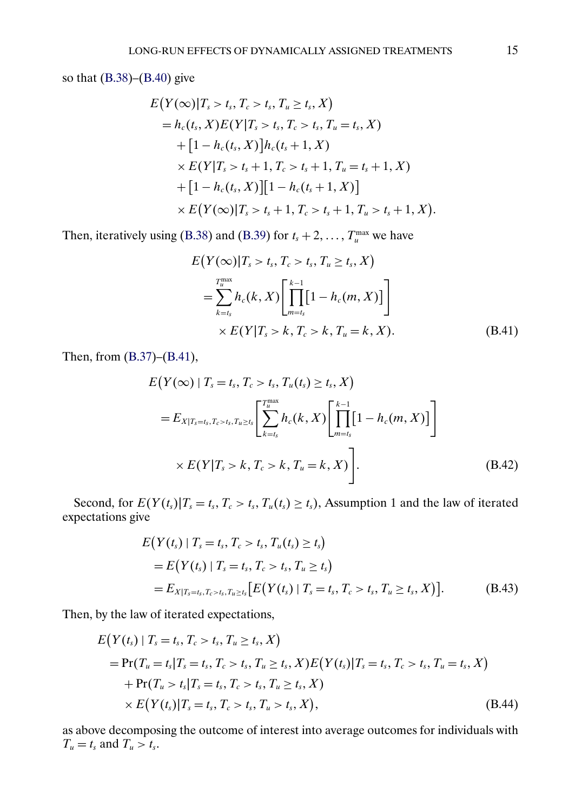<span id="page-14-0"></span>so that [\(B.38\)](#page-13-0)–[\(B.40\)](#page-13-0) give

$$
E(Y(\infty)|T_s > t_s, T_c > t_s, T_u \ge t_s, X)
$$
  
=  $h_c(t_s, X)E(Y|T_s > t_s, T_c > t_s, T_u = t_s, X)$   
+  $[1 - h_c(t_s, X)]h_c(t_s + 1, X)$   
×  $E(Y|T_s > t_s + 1, T_c > t_s + 1, T_u = t_s + 1, X)$   
+  $[1 - h_c(t_s, X)][1 - h_c(t_s + 1, X)]$   
×  $E(Y(\infty)|T_s > t_s + 1, T_c > t_s + 1, T_u > t_s + 1, X).$ 

Then, iteratively using [\(B.38\)](#page-13-0) and [\(B.39\)](#page-13-0) for  $t_s + 2, \ldots, T_u^{\max}$  we have

$$
E(Y(\infty)|T_s > t_s, T_c > t_s, T_u \ge t_s, X)
$$
  
= 
$$
\sum_{k=t_s}^{T_u^{\text{max}}} h_c(k, X) \left[ \prod_{m=t_s}^{k-1} [1 - h_c(m, X)] \right]
$$
  

$$
\times E(Y|T_s > k, T_c > k, T_u = k, X).
$$
 (B.41)

Then, from [\(B.37\)](#page-13-0)–(B.41),

$$
E(Y(\infty) | T_s = t_s, T_c > t_s, T_u(t_s) \ge t_s, X)
$$
  
=  $E_{X|T_s = t_s, T_c > t_s, T_u \ge t_s} \left[ \sum_{k=t_s}^{T_u^{\text{max}}} h_c(k, X) \left[ \prod_{m=t_s}^{k-1} [1 - h_c(m, X)] \right] \right]$   
 $\times E(Y|T_s > k, T_c > k, T_u = k, X) \right].$  (B.42)

Second, for  $E(Y(t_s)|T_s = t_s, T_c > t_s, T_u(t_s) \ge t_s)$ , Assumption 1 and the law of iterated expectations give

$$
E(Y(t_s) | T_s = t_s, T_c > t_s, T_u(t_s) \ge t_s)
$$
  
=  $E(Y(t_s) | T_s = t_s, T_c > t_s, T_u \ge t_s)$   
=  $E_{X|T_s = t_s, T_c > t_s, T_u \ge t_s} [E(Y(t_s) | T_s = t_s, T_c > t_s, T_u \ge t_s, X)].$  (B.43)

Then, by the law of iterated expectations,

$$
E(Y(t_s) | T_s = t_s, T_c > t_s, T_u \ge t_s, X)
$$
  
= Pr(T<sub>u</sub> = t<sub>s</sub>|T<sub>s</sub> = t<sub>s</sub>, T<sub>c</sub> > t<sub>s</sub>, T<sub>u</sub> ≥ t<sub>s</sub>, X) E(Y(t<sub>s</sub>)|T<sub>s</sub> = t<sub>s</sub>, T<sub>c</sub> > t<sub>s</sub>, T<sub>u</sub> = t<sub>s</sub>, X)  
+ Pr(T<sub>u</sub> > t<sub>s</sub>|T<sub>s</sub> = t<sub>s</sub>, T<sub>c</sub> > t<sub>s</sub>, T<sub>u</sub> ≥ t<sub>s</sub>, X)  
× E(Y(t<sub>s</sub>)|T<sub>s</sub> = t<sub>s</sub>, T<sub>c</sub> > t<sub>s</sub>, T<sub>u</sub> > t<sub>s</sub>, X), (B.44)

as above decomposing the outcome of interest into average outcomes for individuals with  $T_u = t_s$  and  $T_u > t_s$ .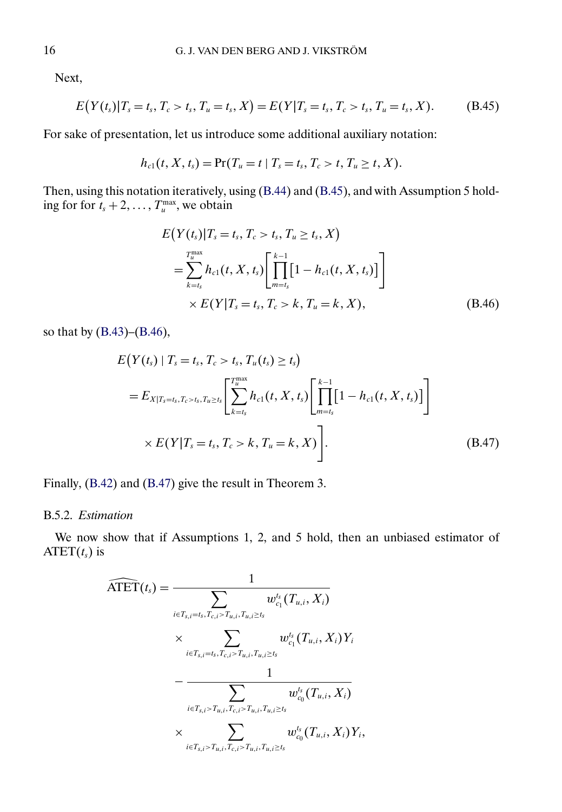Next,

$$
E(Y(t_s)|T_s = t_s, T_c > t_s, T_u = t_s, X) = E(Y|T_s = t_s, T_c > t_s, T_u = t_s, X).
$$
 (B.45)

For sake of presentation, let us introduce some additional auxiliary notation:

$$
h_{c1}(t, X, t_s) = \Pr(T_u = t \mid T_s = t_s, T_c > t, T_u \ge t, X).
$$

Then, using this notation iteratively, using [\(B.44\)](#page-14-0) and (B.45), and with Assumption 5 holding for for  $t_s + 2, \ldots, T_u^{\max}$ , we obtain

$$
E(Y(t_s)|T_s = t_s, T_c > t_s, T_u \ge t_s, X)
$$
  
= 
$$
\sum_{k=t_s}^{T_u^{\max}} h_{c1}(t, X, t_s) \left[ \prod_{m=t_s}^{k-1} [1 - h_{c1}(t, X, t_s)] \right]
$$
  

$$
\times E(Y|T_s = t_s, T_c > k, T_u = k, X),
$$
 (B.46)

so that by [\(B.43\)](#page-14-0)–(B.46),

$$
E(Y(t_s) | T_s = t_s, T_c > t_s, T_u(t_s) \ge t_s)
$$
  
=  $E_{X|T_s = t_s, T_c > t_s, T_u \ge t_s} \left[ \sum_{k=t_s}^{T_u \text{max}} h_{c1}(t, X, t_s) \left[ \prod_{m=t_s}^{k-1} [1 - h_{c1}(t, X, t_s)] \right] \right]$   
×  $E(Y|T_s = t_s, T_c > k, T_u = k, X)$  (B.47)

Finally, [\(B.42\)](#page-14-0) and (B.47) give the result in Theorem 3.

## B.5.2. *Estimation*

We now show that if Assumptions 1, 2, and 5 hold, then an unbiased estimator of ATET $(t_s)$  is

$$
\widehat{\text{ATET}}(t_s) = \frac{1}{\displaystyle\sum_{i \in T_{s,i} = t_s, T_{c,i} > T_{u,i}, T_{u,i} \geq t_s} w_{c_1}^{t_s}(T_{u,i}, X_i)} \times \sum_{i \in T_{s,i} = t_s, T_{c,i} > T_{u,i}, T_{u,i} \geq t_s} w_{c_1}^{t_s}(T_{u,i}, X_i) Y_i - \frac{1}{\displaystyle\sum_{i \in T_{s,i} > T_{u,i}, T_{c,i} > T_{u,i}, T_{u,i} \geq t_s} w_{c_0}^{t_s}(T_{u,i}, X_i)} \times \sum_{i \in T_{s,i} > T_{u,i}, T_{c,i} > T_{u,i}, T_{u,i} \geq t_s} w_{c_0}^{t_s}(T_{u,i}, X_i) Y_i,
$$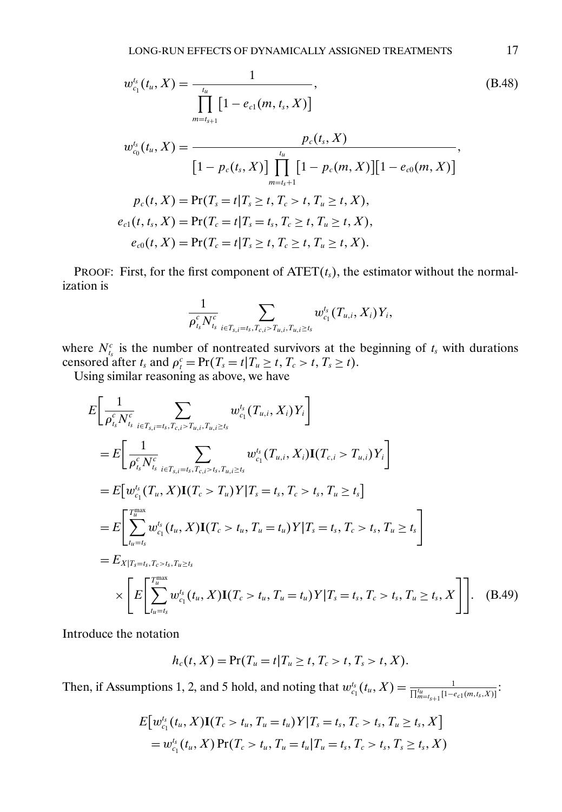<span id="page-16-0"></span>
$$
w_{c_1}^{t_s}(t_u, X) = \frac{1}{\prod_{m=t_{s+1}}^{t_u} [1 - e_{c1}(m, t_s, X)]},
$$
(B.48)  

$$
w_{c_0}^{t_s}(t_u, X) = \frac{p_c(t_s, X)}{[1 - p_c(t_s, X)] \prod_{m=t_s+1}^{t_u} [1 - p_c(m, X)][1 - e_{c0}(m, X)]},
$$

$$
p_c(t, X) = \Pr(T_s = t | T_s \ge t, T_c > t, T_u \ge t, X),
$$

$$
e_{c1}(t, t_s, X) = \Pr(T_c = t | T_s = t_s, T_c \ge t, T_u \ge t, X),
$$

$$
e_{c0}(t, X) = \Pr(T_c = t | T_s \ge t, T_c \ge t, T_u \ge t, X).
$$

PROOF: First, for the first component of  $\text{ATET}(t_s)$ , the estimator without the normalization is

$$
\frac{1}{\rho_{\scriptscriptstyle t_s}^c N_{\scriptscriptstyle t_s}^c} \sum_{\scriptscriptstyle i \in T_{\scriptscriptstyle s,i} = t_s, T_{\scriptscriptstyle c,i} > T_{\scriptscriptstyle u,i}, T_{u,i} \geq t_s} w_{\scriptscriptstyle c_1}^{\scriptscriptstyle t_s}(T_{u,i},X_i)Y_i,
$$

where  $N_{t_s}^c$  is the number of nontreated survivors at the beginning of  $t_s$  with durations censored after  $t_s$  and  $\rho_t^c = \Pr(T_s = t | T_u \ge t, T_c > t, T_s \ge t)$ .

Using similar reasoning as above, we have

$$
E\left[\frac{1}{\rho_{t_s}^c N_{t_s}^c} \sum_{i \in T_{s,i} = t_s, T_{c,i} > T_{u,i}, T_{u,i} \ge t_s} w_{c_1}^{t_s} (T_{u,i}, X_i) Y_i\right]
$$
  
\n
$$
= E\left[\frac{1}{\rho_{t_s}^c N_{t_s}^c} \sum_{i \in T_{s,i} = t_s, T_{c,i} > t_s, T_{u,i} \ge t_s} w_{c_1}^{t_s} (T_{u,i}, X_i) \mathbf{I}(T_{c,i} > T_{u,i}) Y_i\right]
$$
  
\n
$$
= E\left[w_{c_1}^{t_s} (T_u, X) \mathbf{I}(T_c > T_u) Y | T_s = t_s, T_c > t_s, T_u \ge t_s\right]
$$
  
\n
$$
= E\left[\sum_{t_u = t_s}^{T_{\text{max}}^{\text{max}}} w_{c_1}^{t_s} (t_u, X) \mathbf{I}(T_c > t_u, T_u = t_u) Y | T_s = t_s, T_c > t_s, T_u \ge t_s\right]
$$
  
\n
$$
= E_{X|T_s = t_s, T_c > t_s, T_u \ge t_s}
$$
  
\n
$$
\times \left[E\left[\sum_{t_u = t_s}^{T_{\text{max}}^{\text{max}}} w_{c_1}^{t_s} (t_u, X) \mathbf{I}(T_c > t_u, T_u = t_u) Y | T_s = t_s, T_c > t_s, T_u \ge t_s, X\right]\right]. \quad (B.49)
$$

Introduce the notation

$$
h_c(t, X) = \Pr(T_u = t | T_u \ge t, T_c > t, T_s > t, X).
$$

Then, if Assumptions 1, 2, and 5 hold, and noting that  $w_{c_1}^{t_s}(t_u, X) = \frac{1}{\prod_{m=t_{s+1}}^{t_u}[1-e_{c_1}(m, t_s, X)]}$ :

$$
E[w_{c_1}^{t_s}(t_u, X)\mathbf{I}(T_c > t_u, T_u = t_u)Y|T_s = t_s, T_c > t_s, T_u \ge t_s, X]
$$
  
=  $w_{c_1}^{t_s}(t_u, X) \Pr(T_c > t_u, T_u = t_u | T_u = t_s, T_c > t_s, T_s \ge t_s, X)$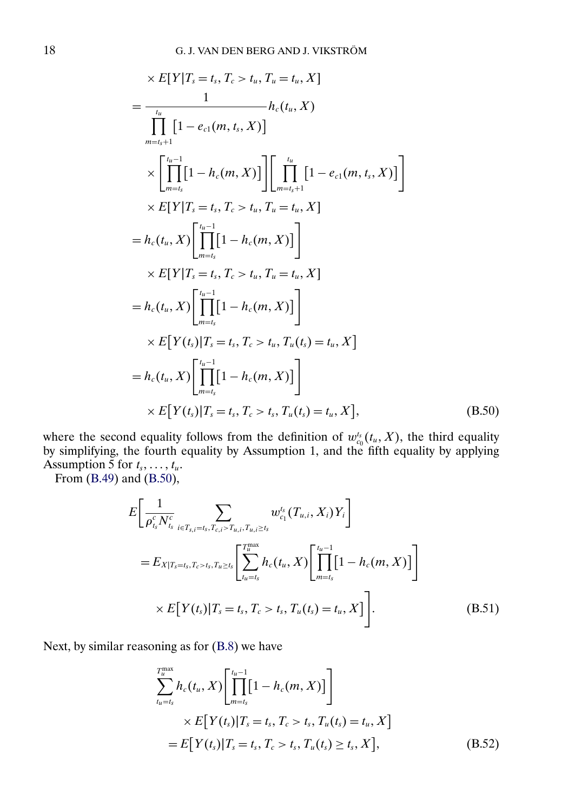<span id="page-17-0"></span>
$$
\times E[Y|T_s = t_s, T_c > t_u, T_u = t_u, X]
$$
\n
$$
= \frac{1}{\prod_{m=t_s+1}^{t_u} [1 - e_{c1}(m, t_s, X)]} h_c(t_u, X)
$$
\n
$$
\times \left[ \prod_{m=t_s}^{t_u-1} [1 - h_c(m, X)] \right] \left[ \prod_{m=t_s+1}^{t_u} [1 - e_{c1}(m, t_s, X)] \right]
$$
\n
$$
\times E[Y|T_s = t_s, T_c > t_u, T_u = t_u, X]
$$
\n
$$
= h_c(t_u, X) \left[ \prod_{m=t_s}^{t_u-1} [1 - h_c(m, X)] \right]
$$
\n
$$
\times E[Y|T_s = t_s, T_c > t_u, T_u = t_u, X]
$$
\n
$$
= h_c(t_u, X) \left[ \prod_{m=t_s}^{t_u-1} [1 - h_c(m, X)] \right]
$$
\n
$$
\times E[Y(t_s)|T_s = t_s, T_c > t_u, T_u(t_s) = t_u, X]
$$
\n
$$
= h_c(t_u, X) \left[ \prod_{m=t_s}^{t_u-1} [1 - h_c(m, X)] \right]
$$
\n
$$
\times E[Y(t_s)|T_s = t_s, T_c > t_s, T_u(t_s) = t_u, X], \quad (B.50)
$$

where the second equality follows from the definition of  $w_{c_0}^{t_s}(t_u, X)$ , the third equality by simplifying, the fourth equality by Assumption 1, and the fifth equality by applying Assumption 5 for  $t_s, \ldots, t_u$ .

From [\(B.49\)](#page-16-0) and [\(B.50\)](#page-16-0),

$$
E\bigg[\frac{1}{\rho_{t_s}^c N_{t_s}^c} \sum_{i \in T_{s,i} = t_s, T_{c,i} > T_{u,i}, T_{u,i} \ge t_s} w_{c_1}^{t_s} (T_{u,i}, X_i) Y_i\bigg]
$$
  
=  $E_{X|T_s = t_s, T_c > t_s, T_{u} \ge t_s} \bigg[\sum_{t_u = t_s}^{T_u^{\max}} h_c(t_u, X) \bigg[\prod_{m=t_s}^{t_u-1} [1 - h_c(m, X)]\bigg]$   
 $\times E[Y(t_s)|T_s = t_s, T_c > t_s, T_u(t_s) = t_u, X]\bigg].$  (B.51)

Next, by similar reasoning as for [\(B.8\)](#page-3-0) we have

$$
\sum_{t_u=t_s}^{T_u^{\max}} h_c(t_u, X) \left[ \prod_{m=t_s}^{t_u-1} [1 - h_c(m, X)] \right]
$$
\n
$$
\times E[Y(t_s)|T_s = t_s, T_c > t_s, T_u(t_s) = t_u, X]
$$
\n
$$
= E[Y(t_s)|T_s = t_s, T_c > t_s, T_u(t_s) \ge t_s, X], \tag{B.52}
$$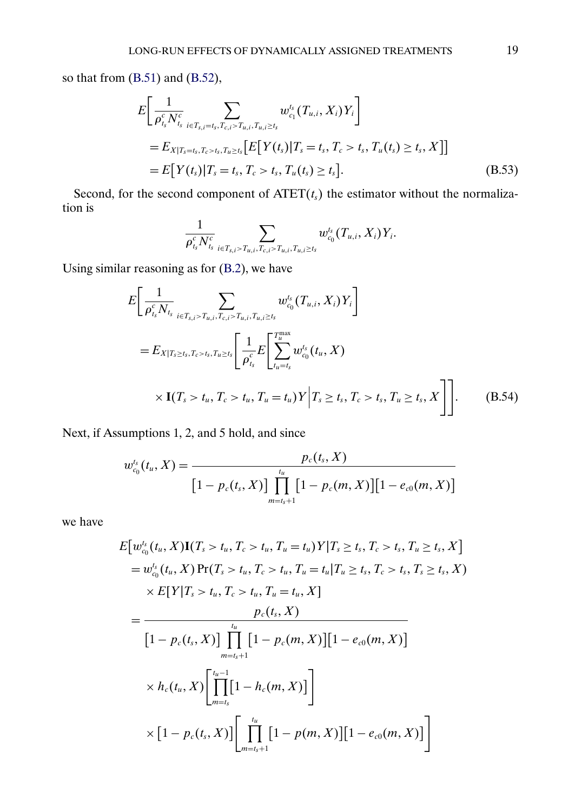<span id="page-18-0"></span>so that from [\(B.51\)](#page-17-0) and [\(B.52\)](#page-17-0),

$$
E\left[\frac{1}{\rho_{t_s}^c N_{t_s}} \sum_{i \in T_{s,i} = t_s, T_{c,i} > T_{u,i}, T_{u,i} \ge t_s} w_{c_1}^{t_s} (T_{u,i}, X_i) Y_i\right]
$$
  
=  $E_{X|T_s = t_s, T_c > t_s, T_{u} \ge t_s} [E[Y(t_s)|T_s = t_s, T_c > t_s, T_u(t_s) \ge t_s, X]]$   
=  $E[Y(t_s)|T_s = t_s, T_c > t_s, T_u(t_s) \ge t_s].$  (B.53)

Second, for the second component of  $\text{ATET}(t_s)$  the estimator without the normalization is 1

$$
\frac{1}{\rho_{t_s}^c N_{t_s}^c} \sum_{i \in T_{s,i} > T_{u,i}, T_{c,i} > T_{u,i}, T_{u,i} \geq t_s} w_{c_0}^{t_s}(T_{u,i},X_i)Y_i.
$$

Using similar reasoning as for [\(B.2\)](#page-0-0), we have

$$
E\left[\frac{1}{\rho_{t_s}^c N_{t_s}} \sum_{i \in T_{s,i} > T_{u,i}, T_{c,i} > T_{u,i}, T_{u,i} \ge t_s} w_{c_0}^{t_s}(T_{u,i}, X_i) Y_i\right]
$$
  
=  $E_{X|T_s \ge t_s, T_c > t_s, T_u \ge t_s} \left[\frac{1}{\rho_{t_s}^c} E\left[\sum_{t_u=t_s}^{T_{\text{max}}^{\text{max}}} w_{c_0}^{t_s}(t_u, X)\right] \times \mathbf{I}(T_s > t_u, T_c > t_u, T_u = t_u) Y \Big| T_s \ge t_s, T_c > t_s, T_u \ge t_s, X \right].$  (B.54)

Next, if Assumptions 1, 2, and 5 hold, and since

$$
w_{c_0}^{t_s}(t_u, X) = \frac{p_c(t_s, X)}{\left[1 - p_c(t_s, X)\right] \prod_{m=t_s+1}^{t_u} \left[1 - p_c(m, X)\right] \left[1 - e_{c0}(m, X)\right]}
$$

we have

$$
E\big[w_{c_0}^{t_s}(t_u, X)\mathbf{I}(T_s > t_u, T_c > t_u, T_u = t_u)Y|T_s \ge t_s, T_c > t_s, T_u \ge t_s, X\big]
$$
  
\n
$$
= w_{c_0}^{t_s}(t_u, X)\Pr(T_s > t_u, T_c > t_u, T_u = t_u|T_u \ge t_s, T_c > t_s, T_s \ge t_s, X)
$$
  
\n
$$
\times E[Y|T_s > t_u, T_c > t_u, T_u = t_u, X]
$$
  
\n
$$
= \frac{p_c(t_s, X)}{\big[1 - p_c(t_s, X)\big] \prod_{m=t_s+1}^{t_u} \big[1 - p_c(m, X)\big] \big[1 - e_{c_0}(m, X)\big]}
$$
  
\n
$$
\times h_c(t_u, X) \Bigg[\prod_{m=t_s}^{t_u-1} \big[1 - h_c(m, X)\big]\Bigg]
$$
  
\n
$$
\times \big[1 - p_c(t_s, X)\big] \Bigg[\prod_{m=t_s+1}^{t_u} \big[1 - p(m, X)\big] \big[1 - e_{c_0}(m, X)\big]\Bigg]
$$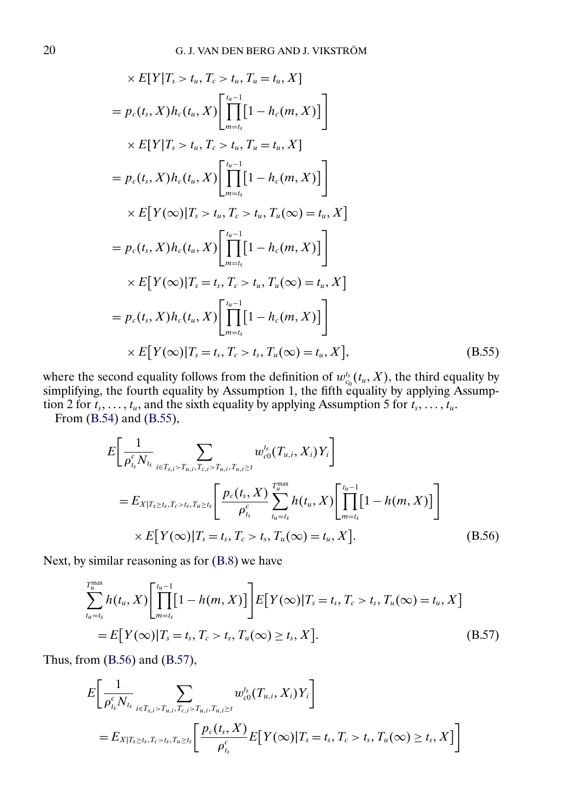<span id="page-19-0"></span>
$$
\times E[Y|T_s > t_u, T_c > t_u, T_u = t_u, X]
$$
  
=  $p_c(t_s, X)h_c(t_u, X) \left[ \prod_{m=t_s}^{t_u-1} [1 - h_c(m, X)] \right]$   

$$
\times E[Y|T_s > t_u, T_c > t_u, T_u = t_u, X]
$$
  
=  $p_c(t_s, X)h_c(t_u, X) \left[ \prod_{m=t_s}^{t_u-1} [1 - h_c(m, X)] \right]$   

$$
\times E[Y(\infty)|T_s > t_u, T_c > t_u, T_u(\infty) = t_u, X]
$$
  
=  $p_c(t_s, X)h_c(t_u, X) \left[ \prod_{m=t_s}^{t_u-1} [1 - h_c(m, X)] \right]$   

$$
\times E[Y(\infty)|T_s = t_s, T_c > t_u, T_u(\infty) = t_u, X]
$$
  
=  $p_c(t_s, X)h_c(t_u, X) \left[ \prod_{m=t_s}^{t_u-1} [1 - h_c(m, X)] \right]$   

$$
\times E[Y(\infty)|T_s = t_s, T_c > t_s, T_u(\infty) = t_u, X],
$$
 (B.55)

where the second equality follows from the definition of  $w_{c_0}^{t_s}(t_u, X)$ , the third equality by simplifying, the fourth equality by Assumption 1, the fifth equality by applying Assumption 2 for  $t_s, \ldots, t_u$ , and the sixth equality by applying Assumption 5 for  $t_s, \ldots, t_u$ .

From [\(B.54\)](#page-18-0) and [\(B.55\)](#page-18-0),

$$
E\left[\frac{1}{\rho_{t_s}^c N_{t_s}} \sum_{i \in T_{s,i} > T_{u,i}, T_{c,i} > T_{u,i}, T_{u,i} \ge t} w_{c0}^{t_s} (T_{u,i}, X_i) Y_i\right]
$$
  
=  $E_{X|T_s \ge t_s, T_c > t_s, T_{u} \ge t_s} \left[\frac{p_c(t_s, X)}{\rho_{t_s}^c} \sum_{t_u = t_s}^{T_u^{\text{max}}} h(t_u, X) \left[\prod_{m=t_s}^{t_u-1} [1 - h(m, X)]\right] \times E[Y(\infty)|T_s = t_s, T_c > t_s, T_u(\infty) = t_u, X].$  (B.56)

Next, by similar reasoning as for [\(B.8\)](#page-3-0) we have

$$
\sum_{t_u=t_s}^{T_u^{\max}} h(t_u, X) \left[ \prod_{m=t_s}^{t_u-1} [1 - h(m, X)] \right] E[Y(\infty) | T_s = t_s, T_c > t_s, T_u(\infty) = t_u, X]
$$
  
=  $E[Y(\infty) | T_s = t_s, T_c > t_s, T_u(\infty) \ge t_s, X].$  (B.57)

Thus, from (B.56) and (B.57),

$$
E\left[\frac{1}{\rho_{t_s}^c N_{t_s}} \sum_{i \in T_{s,i} > T_{u,i}, T_{c,i} > T_{u,i}, T_{u,i} \ge t} w_{c0}^{t_s}(T_{u,i}, X_i) Y_i\right]
$$
  
=  $E_{X|T_s \ge t_s, T_c > t_s, T_{u} \ge t_s} \left[\frac{p_c(t_s, X)}{\rho_{t_s}^c} E[Y(\infty) | T_s = t_s, T_c > t_s, T_u(\infty) \ge t_s, X]\right]$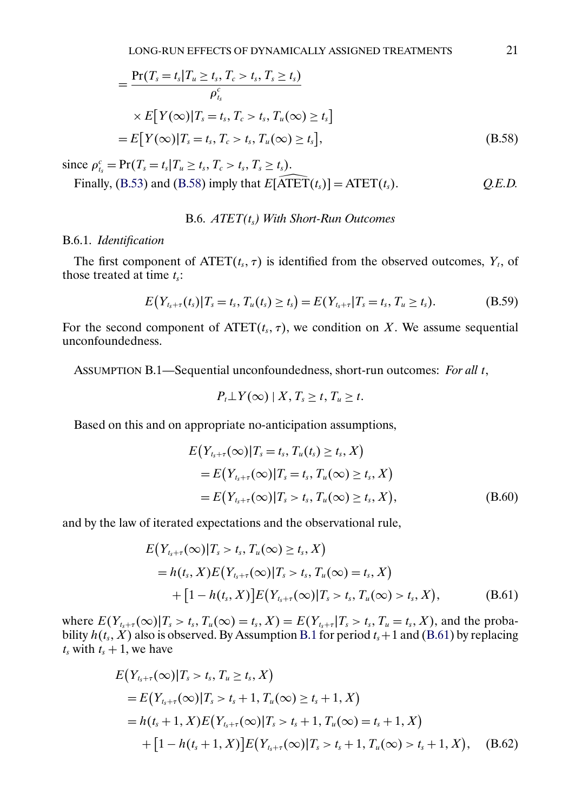<span id="page-20-0"></span>
$$
= \frac{\Pr(T_s = t_s | T_u \ge t_s, T_c > t_s, T_s \ge t_s)}{\rho_{t_s}^c}
$$
  
 
$$
\times E[Y(\infty)|T_s = t_s, T_c > t_s, T_u(\infty) \ge t_s]
$$
  

$$
= E[Y(\infty)|T_s = t_s, T_c > t_s, T_u(\infty) \ge t_s],
$$
 (B.58)

since  $\rho_{t_s}^c = \Pr(T_s = t_s | T_u \ge t_s, T_c > t_s, T_s \ge t_s).$ 

ice  $\rho_{t_s}^c = \Pr(T_s = t_s | T_u \ge t_s, T_c > t_s, T_s \ge t_s).$ <br>Finally, [\(B.53\)](#page-18-0) and [\(B.58\)](#page-19-0) imply that  $E[\widehat{ATET}(t_s)] = \text{ATET}(t_s).$  *Q.E.D.* 

### B.6. *ATET(*ts*) With Short-Run Outcomes*

#### B.6.1. *Identification*

The first component of  $\text{ATET}(t_s, \tau)$  is identified from the observed outcomes,  $Y_t$ , of those treated at time  $t_s$ :

$$
E(Y_{t_s+\tau}(t_s)|T_s=t_s,T_u(t_s)\geq t_s)=E(Y_{t_s+\tau}|T_s=t_s,T_u\geq t_s).
$$
 (B.59)

For the second component of  $\text{ATET}(t_s, \tau)$ , we condition on X. We assume sequential unconfoundedness.

ASSUMPTION B.1—Sequential unconfoundedness, short-run outcomes: *For all* t,

$$
P_t \perp Y(\infty) \mid X, T_s \geq t, T_u \geq t.
$$

Based on this and on appropriate no-anticipation assumptions,

$$
E(Y_{t_s+\tau}(\infty)|T_s = t_s, T_u(t_s) \ge t_s, X)
$$
  
= 
$$
E(Y_{t_s+\tau}(\infty)|T_s = t_s, T_u(\infty) \ge t_s, X)
$$
  
= 
$$
E(Y_{t_s+\tau}(\infty)|T_s > t_s, T_u(\infty) \ge t_s, X),
$$
 (B.60)

and by the law of iterated expectations and the observational rule,

$$
E(Y_{t_s+\tau}(\infty)|T_s > t_s, T_u(\infty) \ge t_s, X)
$$
  
=  $h(t_s, X)E(Y_{t_s+\tau}(\infty)|T_s > t_s, T_u(\infty) = t_s, X)$   
+  $[1 - h(t_s, X)]E(Y_{t_s+\tau}(\infty)|T_s > t_s, T_u(\infty) > t_s, X),$  (B.61)

where  $E(Y_{t_s+\tau}(\infty)|T_s > t_s, T_u(\infty) = t_s, X) = E(Y_{t_s+\tau}|T_s > t_s, T_u = t_s, X)$ , and the probability  $h(t_s, X)$  also is observed. By Assumption B.1 for period  $t_s+1$  and (B.61) by replacing  $t_s$  with  $t_s + 1$ , we have

$$
E(Y_{t_s+\tau}(\infty)|T_s > t_s, T_u \ge t_s, X)
$$
  
=  $E(Y_{t_s+\tau}(\infty)|T_s > t_s + 1, T_u(\infty) \ge t_s + 1, X)$   
=  $h(t_s + 1, X)E(Y_{t_{s}+\tau}(\infty)|T_s > t_s + 1, T_u(\infty) = t_s + 1, X)$   
+  $[1 - h(t_s + 1, X)]E(Y_{t_{s}+\tau}(\infty)|T_s > t_s + 1, T_u(\infty) > t_s + 1, X),$  (B.62)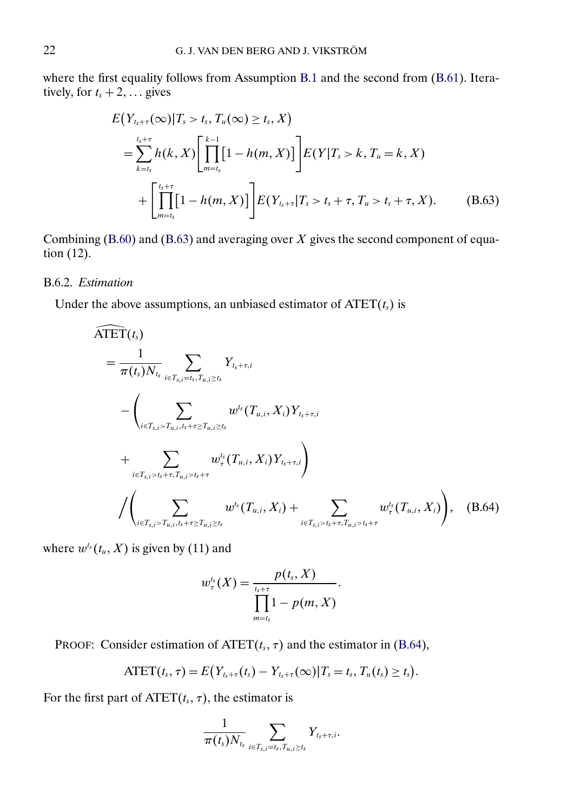where the first equality follows from Assumption [B.1](#page-20-0) and the second from [\(B.61\)](#page-20-0). Iteratively, for  $t_s + 2, \ldots$  gives

$$
E(Y_{t_s+\tau}(\infty)|T_s > t_s, T_u(\infty) \ge t_s, X)
$$
  
= 
$$
\sum_{k=t_s}^{t_s+\tau} h(k, X) \left[ \prod_{m=t_s}^{k-1} [1 - h(m, X)] \right] E(Y|T_s > k, T_u = k, X)
$$
  
+ 
$$
\left[ \prod_{m=t_s}^{t_s+\tau} [1 - h(m, X)] \right] E(Y_{t_s+\tau}|T_s > t_s + \tau, T_u > t_s + \tau, X).
$$
 (B.63)

Combining [\(B.60\)](#page-20-0) and (B.63) and averaging over  $X$  gives the second component of equation (12).

# B.6.2. *Estimation*

Under the above assumptions, an unbiased estimator of 
$$
\widehat{ATET}(t_s)
$$
 is  
\n
$$
\widehat{ATET}(t_s)
$$
\n
$$
= \frac{1}{\pi(t_s)N_{t_s}} \sum_{i \in T_{s,i} = t_s, T_{u,i} \ge t_s} Y_{t_s + \tau, i}
$$
\n
$$
- \left( \sum_{i \in T_{s,i} > T_{u,i}, t_s + \tau \ge T_{u,i} \ge t_s} w^{t_s}(T_{u,i}, X_i) Y_{t_s + \tau, i} + \sum_{i \in T_{s,i} > t_s + \tau, T_{u,i} > t_s + \tau} w^{t_s}_{\tau}(T_{u,i}, X_i) Y_{t_s + \tau, i} \right)
$$
\n
$$
/ \left( \sum_{i \in T_{s,i} > T_{u,i}, t_s + \tau \ge T_{u,i} \ge t_s} w^{t_s}(T_{u,i}, X_i) + \sum_{i \in T_{s,i} > t_s + \tau, T_{u,i} > t_s + \tau} w^{t_s}_{\tau}(T_{u,i}, X_i) \right), \quad (B.64)
$$

where  $w^{t_s}(t_u, X)$  is given by (11) and

$$
w_{\tau}^{t_s}(X) = \frac{p(t_s, X)}{\prod_{m=t_s}^{t_s+ \tau} 1 - p(m, X)}.
$$

**PROOF:** Consider estimation of  $\text{ATET}(t_s, \tau)$  and the estimator in (B.64),

$$
ATET(t_s, \tau) = E(Y_{t_s+\tau}(t_s) - Y_{t_s+\tau}(\infty) | T_s = t_s, T_u(t_s) \ge t_s).
$$

For the first part of  $\text{ATET}(t_s, \tau)$ , the estimator is

$$
\frac{1}{\pi(t_s)N_{t_s}}\sum_{i\in T_{s,i}=t_s,T_{u,i}\geq t_s}Y_{t_s+\tau,i}.
$$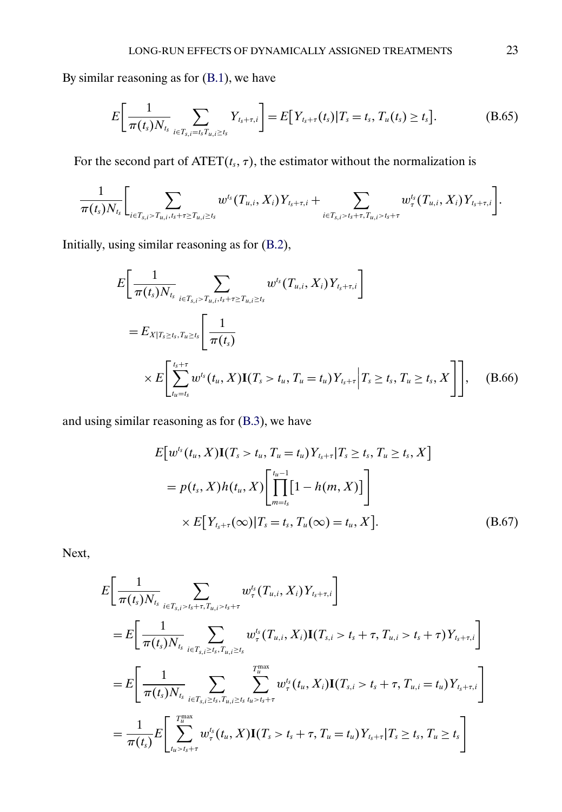<span id="page-22-0"></span>By similar reasoning as for [\(B.1\)](#page-0-0), we have

$$
E\bigg[\frac{1}{\pi(t_s)N_{t_s}}\sum_{i\in T_{s,i}=t_sT_{u,i}\geq t_s}Y_{t_s+\tau,i}\bigg]=E\big[Y_{t_s+\tau}(t_s)|T_s=t_s,T_u(t_s)\geq t_s\big].
$$
 (B.65)

For the second part of  $\text{ATET}(t_s, \tau)$ , the estimator without the normalization is

$$
\frac{1}{\pi(t_s)N_{t_s}}\Bigg[\sum_{i\in T_{s,i}>T_{u,i},t_s+\tau\geq T_{u,i}\geq t_s}w^{t_s}(T_{u,i},X_i)Y_{t_s+\tau,i}+\sum_{i\in T_{s,i}>t_s+\tau,T_{u,i}>t_s+\tau}w^{t_s}_{\tau}(T_{u,i},X_i)Y_{t_s+\tau,i}\Bigg].
$$

Initially, using similar reasoning as for [\(B.2\)](#page-0-0),

$$
E\left[\frac{1}{\pi(t_s)N_{t_s}}\sum_{i\in T_{s,i}>T_{u,i},t_s+\tau\geq T_{u,i}\geq t_s}w^{t_s}(T_{u,i},X_i)Y_{t_s+\tau,i}\right]
$$
  
=  $E_{X|T_s\geq t_s,T_u\geq t_s}\left[\frac{1}{\pi(t_s)}\right]$   

$$
\times E\left[\sum_{t_u=t_s}^{t_s+\tau}w^{t_s}(t_u,X)\mathbf{I}(T_s>t_u,T_u=t_u)Y_{t_s+\tau}\Big|T_s\geq t_s,T_u\geq t_s,X\right]\right],
$$
 (B.66)

and using similar reasoning as for [\(B.3\)](#page-1-0), we have

$$
E[w^{t_s}(t_u, X) \mathbf{I}(T_s > t_u, T_u = t_u) Y_{t_s + \tau} | T_s \ge t_s, T_u \ge t_s, X]
$$
  
=  $p(t_s, X) h(t_u, X) \left[ \prod_{m=t_s}^{t_u - 1} [1 - h(m, X)] \right]$   
 $\times E[Y_{t_s + \tau}(\infty) | T_s = t_s, T_u(\infty) = t_u, X].$  (B.67)

Next,

$$
E\left[\frac{1}{\pi(t_s)N_{t_s}}\sum_{i\in T_{s,i} > t_s+\tau, T_{u,i} > t_s+\tau} w_{\tau}^{t_s}(T_{u,i}, X_i)Y_{t_s+\tau,i}\right]
$$
  
\n
$$
= E\left[\frac{1}{\pi(t_s)N_{t_s}}\sum_{i\in T_{s,i} \ge t_s, T_{u,i} \ge t_s} w_{\tau}^{t_s}(T_{u,i}, X_i)\mathbf{I}(T_{s,i} > t_s + \tau, T_{u,i} > t_s + \tau)Y_{t_s+\tau,i}\right]
$$
  
\n
$$
= E\left[\frac{1}{\pi(t_s)N_{t_s}}\sum_{i\in T_{s,i} \ge t_s, T_{u,i} \ge t_s} \sum_{t_{u} > t_s+\tau}^{T_{u}^{max}} w_{\tau}^{t_s}(t_u, X_i)\mathbf{I}(T_{s,i} > t_s + \tau, T_{u,i} = t_u)Y_{t_s+\tau,i}\right]
$$
  
\n
$$
= \frac{1}{\pi(t_s)} E\left[\sum_{t_{u} > t_s+\tau}^{T_{u}^{max}} w_{\tau}^{t_s}(t_u, X)\mathbf{I}(T_s > t_s + \tau, T_u = t_u)Y_{t_s+\tau}|T_s \ge t_s, T_u \ge t_s\right]
$$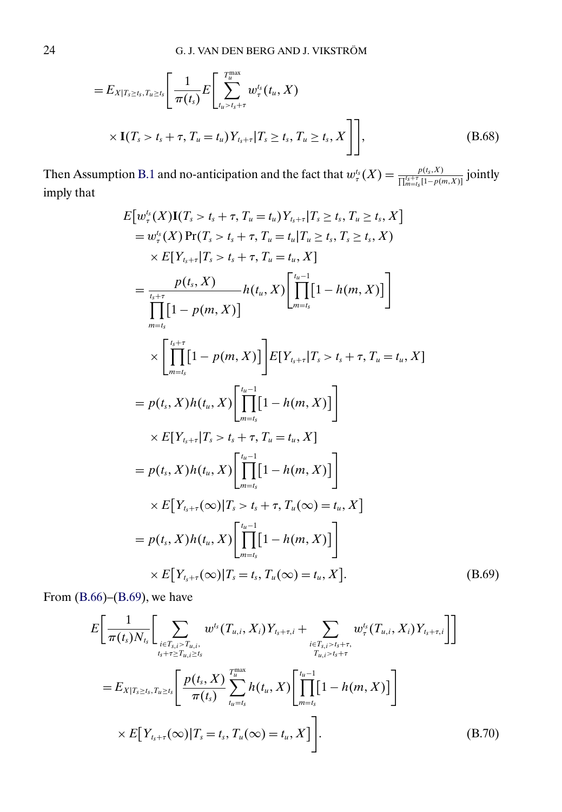<span id="page-23-0"></span>
$$
=E_{X|T_s\geq t_s,T_u\geq t_s}\left[\frac{1}{\pi(t_s)}E\left[\sum_{t_u>t_s+\tau}^{T_u^{\text{max}}}w_{\tau}^{t_s}(t_u,X)\right]\right] \times \mathbf{I}(T_s>t_s+\tau,T_u=t_u)Y_{t_s+\tau}|T_s\geq t_s,T_u\geq t_s,X\right]\right],
$$
(B.68)

Then Assumption [B.1](#page-20-0) and no-anticipation and the fact that  $w_{\tau}^{t_s}(X) = \frac{p(t_s, X)}{\prod_{m=1}^{k_s+1} [1-p(t_m, X)]}$  $\frac{p(t_s, x)}{\prod_{m=t_s}^{t_s+\tau} [1-p(m, X)]}$  jointly imply that

$$
E[w_{\tau}^{t}(X)I(T_{s} > t_{s} + \tau, T_{u} = t_{u})Y_{t_{s}+\tau}|T_{s} \geq t_{s}, T_{u} \geq t_{s}, X]
$$
\n
$$
= w_{\tau}^{t}(X)Pr(T_{s} > t_{s} + \tau, T_{u} = t_{u}|T_{u} \geq t_{s}, T_{s} \geq t_{s}, X)
$$
\n
$$
\times E[Y_{t_{s}+\tau}|T_{s} > t_{s} + \tau, T_{u} = t_{u}, X]
$$
\n
$$
= \frac{p(t_{s}, X)}{\prod_{m=t_{s}}}[1 - p(m, X)]
$$
\n
$$
h(t_{u}, X) \left[\prod_{m=t_{s}}^{t_{u}-1}[1 - h(m, X)]\right]
$$
\n
$$
\times \left[\prod_{m=t_{s}}^{t_{s}+\tau}[1 - p(m, X)]\right]E[Y_{t_{s}+\tau}|T_{s} > t_{s} + \tau, T_{u} = t_{u}, X]
$$
\n
$$
= p(t_{s}, X)h(t_{u}, X) \left[\prod_{m=t_{s}}^{t_{u}-1}[1 - h(m, X)]\right]
$$
\n
$$
\times E[Y_{t_{s}+\tau}|T_{s} > t_{s} + \tau, T_{u} = t_{u}, X]
$$
\n
$$
= p(t_{s}, X)h(t_{u}, X) \left[\prod_{m=t_{s}}^{t_{u}-1}[1 - h(m, X)]\right]
$$
\n
$$
\times E[Y_{t_{s}+\tau}(\infty)|T_{s} > t_{s} + \tau, T_{u}(\infty) = t_{u}, X]
$$
\n
$$
= p(t_{s}, X)h(t_{u}, X) \left[\prod_{m=t_{s}}^{t_{u}-1}[1 - h(m, X)]\right]
$$
\n
$$
\times E[Y_{t_{s}+\tau}(\infty)|T_{s} = t_{s}, T_{u}(\infty) = t_{u}, X].
$$
\n(B.69)

From  $(B.66)$ – $(B.69)$ , we have

$$
E\bigg[\frac{1}{\pi(t_s)N_{t_s}}\bigg[\sum_{\substack{i\in T_{s,i}>T_{u,i},\\t_s+\tau\geq T_{u,i}\geq t_s}}w^{t_s}(T_{u,i},X_i)Y_{t_s+\tau,i}+\sum_{\substack{i\in T_{s,i}>t_s+\tau,\\T_{u,i}>t_s+\tau}}w^{t_s}_{\tau}(T_{u,i},X_i)Y_{t_s+\tau,i}\bigg]\bigg]
$$
  
=  $E_{X|T_s\geq t_s,T_{u}\geq t_s}\bigg[\frac{p(t_s,X)}{\pi(t_s)}\sum_{t_u=t_s}^{T_{\text{max}}}h(t_u,X)\bigg[\prod_{m=t_s}^{t_u-1}[1-h(m,X)]\bigg]\bigg]$   

$$
\times E[Y_{t_s+\tau}(\infty)|T_s=t_s,T_u(\infty)=t_u,X]\bigg].
$$
 (B.70)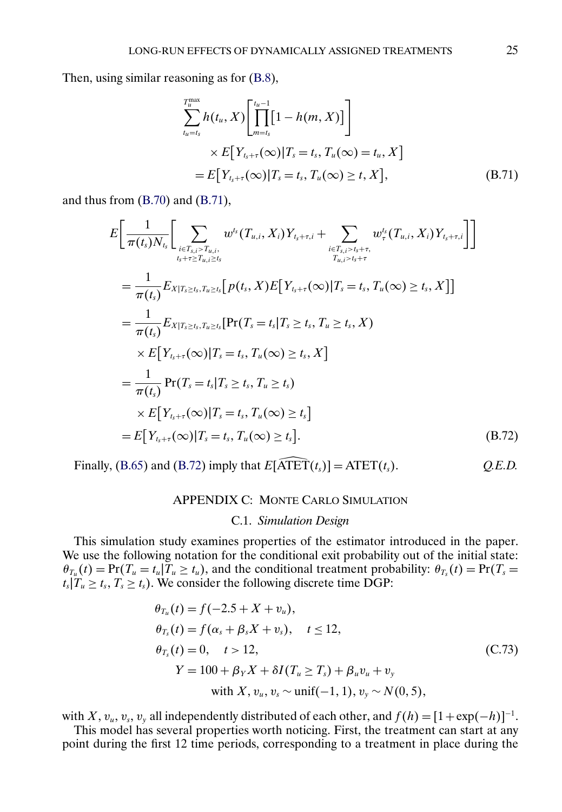Then, using similar reasoning as for [\(B.8\)](#page-3-0),

$$
\sum_{t_u=t_s}^{T_u^{\max}} h(t_u, X) \left[ \prod_{m=t_s}^{t_u-1} [1 - h(m, X)] \right]
$$
  
 
$$
\times E[Y_{t_s+\tau}(\infty) | T_s = t_s, T_u(\infty) = t_u, X]
$$
  
=  $E[Y_{t_s+\tau}(\infty) | T_s = t_s, T_u(\infty) \ge t, X],$  (B.71)

and thus from [\(B.70\)](#page-23-0) and (B.71),

$$
E\left[\frac{1}{\pi(t_{s})N_{t_{s}}}\left[\sum_{i\in T_{s,i}>T_{u,i}}w^{t_{s}}(T_{u,i},X_{i})Y_{t_{s}+\tau,i}+\sum_{i\in T_{s,i}>t_{s}+\tau,}w^{t_{s}}_{\tau}(T_{u,i},X_{i})Y_{t_{s}+\tau,i}\right]\right]
$$
\n
$$
=\frac{1}{\pi(t_{s})}E_{X|T_{s}\geq t_{s},T_{u}\geq t_{s}}\left[p(t_{s},X)E[Y_{t_{s}+\tau}(\infty)|T_{s}=t_{s},T_{u}(\infty)\geq t_{s},X]\right]
$$
\n
$$
=\frac{1}{\pi(t_{s})}E_{X|T_{s}\geq t_{s},T_{u}\geq t_{s}}\left[Pr(T_{s}=t_{s}|T_{s}\geq t_{s},T_{u}\geq t_{s},X)\right]
$$
\n
$$
\times E[Y_{t_{s}+\tau}(\infty)|T_{s}=t_{s},T_{u}(\infty)\geq t_{s},X]
$$
\n
$$
=\frac{1}{\pi(t_{s})}Pr(T_{s}=t_{s}|T_{s}\geq t_{s},T_{u}\geq t_{s})
$$
\n
$$
\times E[Y_{t_{s}+\tau}(\infty)|T_{s}=t_{s},T_{u}(\infty)\geq t_{s}]
$$
\n
$$
=E[Y_{t_{s}+\tau}(\infty)|T_{s}=t_{s},T_{u}(\infty)\geq t_{s}].
$$
\nFinally, (B.65) and (B.72) imply that  $E[\widehat{\text{ATET}}(t_{s})] = \text{ATET}(t_{s}).$  Q.E.D.

## APPENDIX C: MONTE CARLO SIMULATION

#### C.1. *Simulation Design*

This simulation study examines properties of the estimator introduced in the paper. We use the following notation for the conditional exit probability out of the initial state:  $\theta_{T_u}(t) = \Pr(T_u = t_u | T_u \ge t_u)$ , and the conditional treatment probability:  $\theta_{T_s}(t) = \Pr(T_s = t_u | T_u \ge t_u)$  $t_s | T_u \ge t_s$ ,  $T_s \ge t_s$ ). We consider the following discrete time DGP:

$$
\theta_{T_u}(t) = f(-2.5 + X + v_u), \n\theta_{T_s}(t) = f(\alpha_s + \beta_s X + v_s), \quad t \le 12, \n\theta_{T_s}(t) = 0, \quad t > 12, \nY = 100 + \beta_Y X + \delta I(T_u \ge T_s) + \beta_u v_u + v_y \n\text{with } X, v_u, v_s \sim \text{unif}(-1, 1), v_y \sim N(0, 5),
$$
\n(C.73)

with X,  $v_u$ ,  $v_s$ ,  $v_v$  all independently distributed of each other, and  $f(h) = [1 + \exp(-h)]^{-1}$ .

This model has several properties worth noticing. First, the treatment can start at any point during the first 12 time periods, corresponding to a treatment in place during the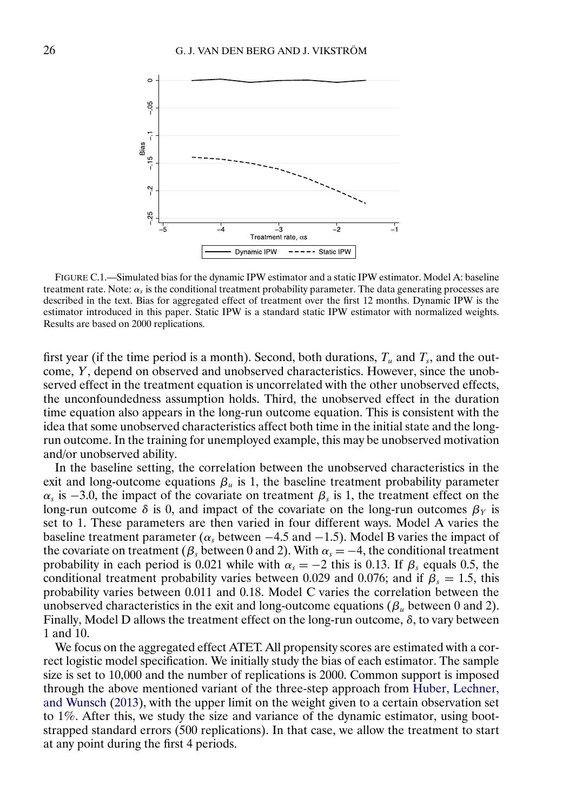<span id="page-25-0"></span>

FIGURE C.1.—Simulated bias for the dynamic IPW estimator and a static IPW estimator. Model A: baseline treatment rate. Note:  $\alpha_s$  is the conditional treatment probability parameter. The data generating processes are described in the text. Bias for aggregated effect of treatment over the first 12 months. Dynamic IPW is the estimator introduced in this paper. Static IPW is a standard static IPW estimator with normalized weights. Results are based on 2000 replications.

first year (if the time period is a month). Second, both durations,  $T_u$  and  $T_s$ , and the outcome, Y, depend on observed and unobserved characteristics. However, since the unobserved effect in the treatment equation is uncorrelated with the other unobserved effects, the unconfoundedness assumption holds. Third, the unobserved effect in the duration time equation also appears in the long-run outcome equation. This is consistent with the idea that some unobserved characteristics affect both time in the initial state and the longrun outcome. In the training for unemployed example, this may be unobserved motivation and/or unobserved ability.

In the baseline setting, the correlation between the unobserved characteristics in the exit and long-outcome equations  $\beta_u$  is 1, the baseline treatment probability parameter  $\alpha_s$  is −3.0, the impact of the covariate on treatment  $\beta_s$  is 1, the treatment effect on the long-run outcome  $\delta$  is 0, and impact of the covariate on the long-run outcomes  $\beta_Y$  is set to 1. These parameters are then varied in four different ways. Model A varies the baseline treatment parameter ( $\alpha_s$  between  $-4.5$  and  $-1.5$ ). Model B varies the impact of the covariate on treatment ( $\beta_s$  between 0 and 2). With  $\alpha_s = -4$ , the conditional treatment probability in each period is 0.021 while with  $\alpha_s = -2$  this is 0.13. If  $\beta_s$  equals 0.5, the conditional treatment probability varies between 0.029 and 0.076; and if  $\beta_s = 1.5$ , this probability varies between 0.011 and 0.18. Model C varies the correlation between the unobserved characteristics in the exit and long-outcome equations ( $\beta_u$  between 0 and 2). Finally, Model D allows the treatment effect on the long-run outcome,  $\delta$ , to vary between 1 and 10.

We focus on the aggregated effect ATET. All propensity scores are estimated with a correct logistic model specification. We initially study the bias of each estimator. The sample size is set to 10,000 and the number of replications is 2000. Common support is imposed through the above mentioned variant of the three-step approach from [Huber, Lechner,](#page-29-0) [and Wunsch](#page-29-0) [\(2013\)](#page-29-0), with the upper limit on the weight given to a certain observation set to 1%. After this, we study the size and variance of the dynamic estimator, using bootstrapped standard errors (500 replications). In that case, we allow the treatment to start at any point during the first 4 periods.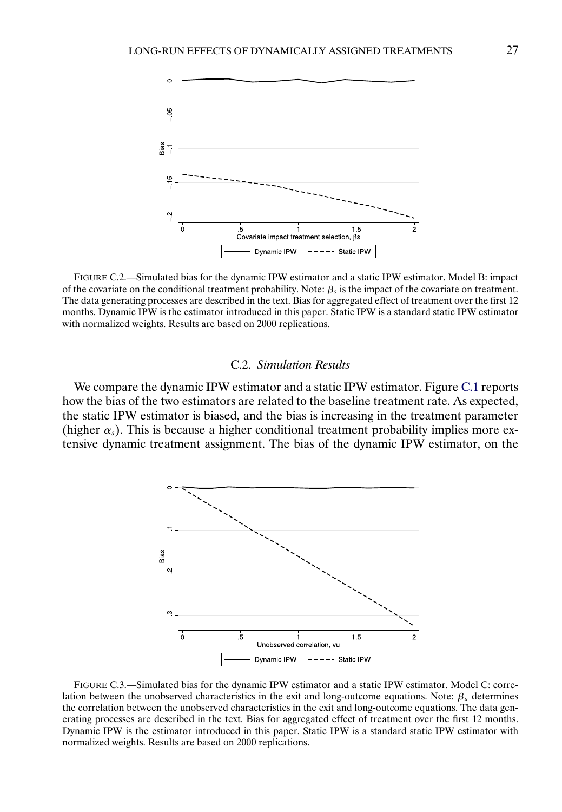<span id="page-26-0"></span>

FIGURE C.2.—Simulated bias for the dynamic IPW estimator and a static IPW estimator. Model B: impact of the covariate on the conditional treatment probability. Note:  $\beta_s$  is the impact of the covariate on treatment. The data generating processes are described in the text. Bias for aggregated effect of treatment over the first 12 months. Dynamic IPW is the estimator introduced in this paper. Static IPW is a standard static IPW estimator with normalized weights. Results are based on 2000 replications.

## C.2. *Simulation Results*

We compare the dynamic IPW estimator and a static IPW estimator. Figure [C.1](#page-25-0) reports how the bias of the two estimators are related to the baseline treatment rate. As expected, the static IPW estimator is biased, and the bias is increasing in the treatment parameter (higher  $\alpha_s$ ). This is because a higher conditional treatment probability implies more extensive dynamic treatment assignment. The bias of the dynamic IPW estimator, on the



FIGURE C.3.—Simulated bias for the dynamic IPW estimator and a static IPW estimator. Model C: correlation between the unobserved characteristics in the exit and long-outcome equations. Note:  $\beta_u$  determines the correlation between the unobserved characteristics in the exit and long-outcome equations. The data generating processes are described in the text. Bias for aggregated effect of treatment over the first 12 months. Dynamic IPW is the estimator introduced in this paper. Static IPW is a standard static IPW estimator with normalized weights. Results are based on 2000 replications.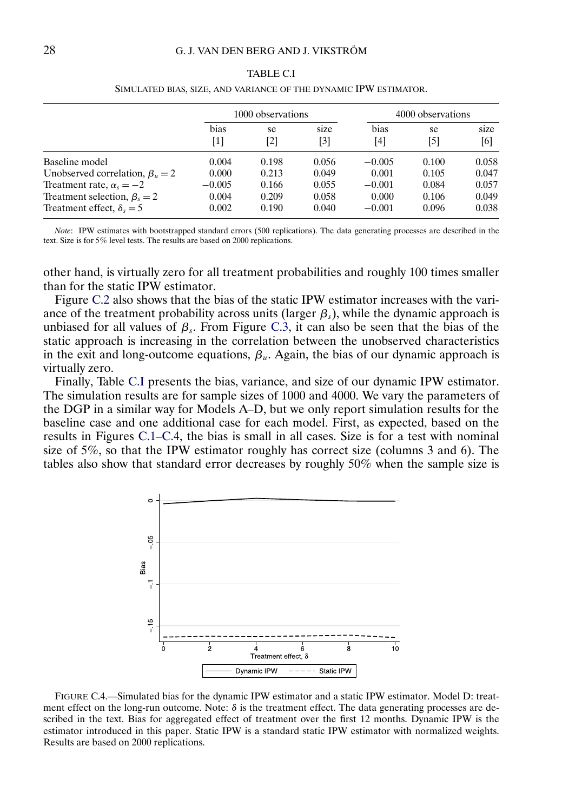|                                       | 1000 observations |           |             | 4000 observations |           |             |
|---------------------------------------|-------------------|-----------|-------------|-------------------|-----------|-------------|
|                                       | bias<br>$[1]$     | se<br>[2] | size<br>[3] | bias<br>[4]       | se<br>[5] | size<br>[6] |
| Baseline model                        | 0.004             | 0.198     | 0.056       | $-0.005$          | 0.100     | 0.058       |
| Unobserved correlation, $\beta_u = 2$ | 0.000             | 0.213     | 0.049       | 0.001             | 0.105     | 0.047       |
| Treatment rate, $\alpha_s = -2$       | $-0.005$          | 0.166     | 0.055       | $-0.001$          | 0.084     | 0.057       |
| Treatment selection, $\beta_s = 2$    | 0.004             | 0.209     | 0.058       | 0.000             | 0.106     | 0.049       |
| Treatment effect, $\delta_{\rm s}=5$  | 0.002             | 0.190     | 0.040       | $-0.001$          | 0.096     | 0.038       |

TABLE C.I SIMULATED BIAS, SIZE, AND VARIANCE OF THE DYNAMIC IPW ESTIMATOR.

*Note*: IPW estimates with bootstrapped standard errors (500 replications). The data generating processes are described in the text. Size is for 5% level tests. The results are based on 2000 replications.

other hand, is virtually zero for all treatment probabilities and roughly 100 times smaller than for the static IPW estimator.

Figure [C.2](#page-26-0) also shows that the bias of the static IPW estimator increases with the variance of the treatment probability across units (larger  $\beta_s$ ), while the dynamic approach is unbiased for all values of  $\beta_s$ . From Figure [C.3,](#page-26-0) it can also be seen that the bias of the static approach is increasing in the correlation between the unobserved characteristics in the exit and long-outcome equations,  $\beta_{\mu}$ . Again, the bias of our dynamic approach is virtually zero.

Finally, Table C.I presents the bias, variance, and size of our dynamic IPW estimator. The simulation results are for sample sizes of 1000 and 4000. We vary the parameters of the DGP in a similar way for Models A–D, but we only report simulation results for the baseline case and one additional case for each model. First, as expected, based on the results in Figures [C.1–](#page-25-0)C.4, the bias is small in all cases. Size is for a test with nominal size of 5%, so that the IPW estimator roughly has correct size (columns 3 and 6). The tables also show that standard error decreases by roughly 50% when the sample size is



FIGURE C.4.—Simulated bias for the dynamic IPW estimator and a static IPW estimator. Model D: treatment effect on the long-run outcome. Note:  $\delta$  is the treatment effect. The data generating processes are described in the text. Bias for aggregated effect of treatment over the first 12 months. Dynamic IPW is the estimator introduced in this paper. Static IPW is a standard static IPW estimator with normalized weights. Results are based on 2000 replications.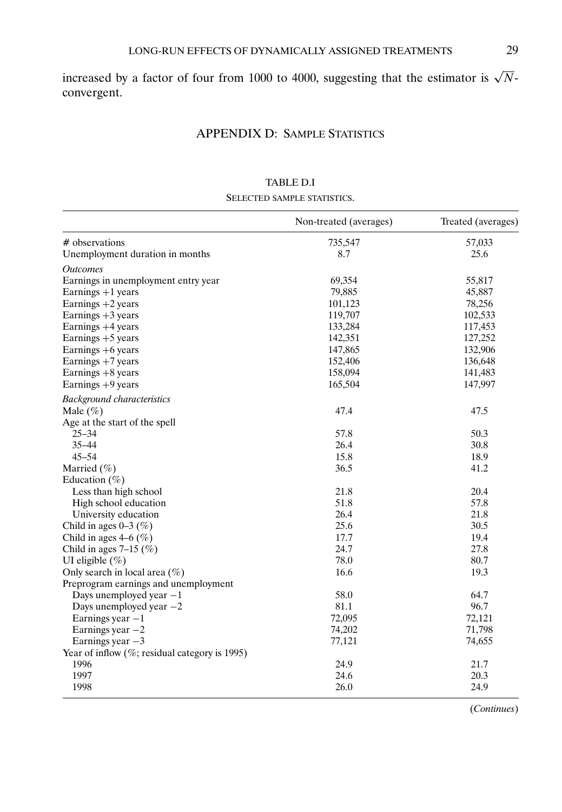increased by a factor of four from 1000 to 4000, suggesting that the estimator is  $\sqrt{N}$ convergent.

# APPENDIX D: SAMPLE STATISTICS

|                                                  | Non-treated (averages) | Treated (averages) |
|--------------------------------------------------|------------------------|--------------------|
| # observations                                   | 735,547                | 57,033             |
| Unemployment duration in months                  | 8.7                    | 25.6               |
| <i><b>Outcomes</b></i>                           |                        |                    |
| Earnings in unemployment entry year              | 69,354                 | 55,817             |
| Earnings $+1$ years                              | 79,885                 | 45,887             |
| Earnings $+2$ years                              | 101,123                | 78,256             |
| Earnings $+3$ years                              | 119,707                | 102,533            |
| Earnings +4 years                                | 133,284                | 117,453            |
| Earnings $+5$ years                              | 142,351                | 127,252            |
| Earnings $+6$ years                              | 147,865                | 132,906            |
| Earnings $+7$ years                              | 152,406                | 136,648            |
| Earnings $+8$ years                              | 158,094                | 141,483            |
| Earnings +9 years                                | 165,504                | 147,997            |
| <b>Background characteristics</b>                |                        |                    |
| Male $(\%)$                                      | 47.4                   | 47.5               |
| Age at the start of the spell                    |                        |                    |
| $25 - 34$                                        | 57.8                   | 50.3               |
| $35 - 44$                                        | 26.4                   | 30.8               |
| $45 - 54$                                        | 15.8                   | 18.9               |
| Married $(\% )$                                  | 36.5                   | 41.2               |
| Education $(\% )$                                |                        |                    |
| Less than high school                            | 21.8                   | 20.4               |
| High school education                            | 51.8                   | 57.8               |
| University education                             | 26.4                   | 21.8               |
| Child in ages $0-3$ (%)                          | 25.6                   | 30.5               |
| Child in ages $4-6$ (%)                          | 17.7                   | 19.4               |
| Child in ages $7-15$ (%)                         | 24.7                   | 27.8               |
| UI eligible $(\%)$                               | 78.0                   | 80.7               |
| Only search in local area $(\% )$                | 16.6                   | 19.3               |
| Preprogram earnings and unemployment             |                        |                    |
| Days unemployed year $-1$                        | 58.0                   | 64.7               |
| Days unemployed year $-2$                        | 81.1                   | 96.7               |
| Earnings year $-1$                               | 72,095                 | 72,121             |
| Earnings year $-2$                               | 74,202                 | 71,798             |
| Earnings year $-3$                               | 77,121                 | 74,655             |
| Year of inflow $(\%;$ residual category is 1995) |                        |                    |
| 1996                                             | 24.9                   | 21.7               |
| 1997                                             | 24.6                   | 20.3               |
| 1998                                             | 26.0                   | 24.9               |

TABLE D.I SELECTED SAMPLE STATISTICS.

(*Continues*)